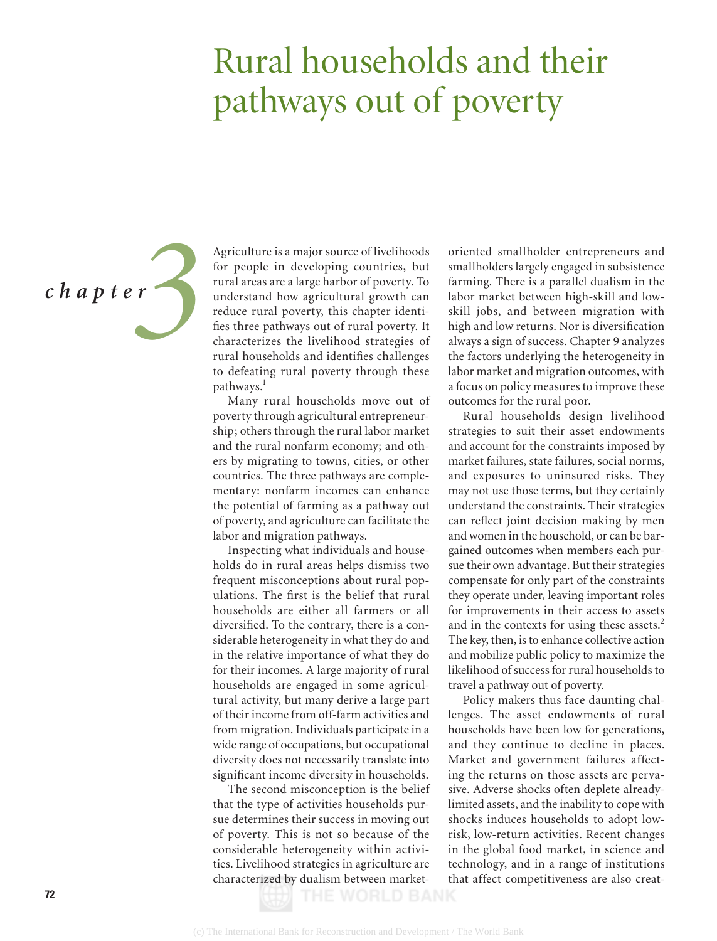# Rural households and their pathways out of poverty

*chapter 3*

Agriculture is a major source of livelihoods for people in developing countries, but rural areas are a large harbor of poverty. To understand how agricultural growth can reduce rural poverty, this chapter identifies three pathways out of rural poverty. It characterizes the livelihood strategies of rural households and identifies challenges to defeating rural poverty through these pathways.<sup>1</sup>

Many rural households move out of poverty through agricultural entrepreneurship; others through the rural labor market and the rural nonfarm economy; and others by migrating to towns, cities, or other countries. The three pathways are complementary: nonfarm incomes can enhance the potential of farming as a pathway out of poverty, and agriculture can facilitate the labor and migration pathways.

Inspecting what individuals and households do in rural areas helps dismiss two frequent misconceptions about rural populations. The first is the belief that rural households are either all farmers or all diversified. To the contrary, there is a considerable heterogeneity in what they do and in the relative importance of what they do for their incomes. A large majority of rural households are engaged in some agricultural activity, but many derive a large part of their income from off-farm activities and from migration. Individuals participate in a wide range of occupations, but occupational diversity does not necessarily translate into significant income diversity in households.

The second misconception is the belief that the type of activities households pursue determines their success in moving out of poverty. This is not so because of the considerable heterogeneity within activities. Livelihood strategies in agriculture are characterized by dualism between marketoriented smallholder entrepreneurs and smallholders largely engaged in subsistence farming. There is a parallel dualism in the labor market between high-skill and lowskill jobs, and between migration with high and low returns. Nor is diversification always a sign of success. Chapter 9 analyzes the factors underlying the heterogeneity in labor market and migration outcomes, with a focus on policy measures to improve these outcomes for the rural poor.

Rural households design livelihood strategies to suit their asset endowments and account for the constraints imposed by market failures, state failures, social norms, and exposures to uninsured risks. They may not use those terms, but they certainly understand the constraints. Their strategies can reflect joint decision making by men and women in the household, or can be bargained outcomes when members each pursue their own advantage. But their strategies compensate for only part of the constraints they operate under, leaving important roles for improvements in their access to assets and in the contexts for using these assets.<sup>2</sup> The key, then, is to enhance collective action and mobilize public policy to maximize the likelihood of success for rural households to travel a pathway out of poverty.

Policy makers thus face daunting challenges. The asset endowments of rural households have been low for generations, and they continue to decline in places. Market and government failures affecting the returns on those assets are pervasive. Adverse shocks often deplete alreadylimited assets, and the inability to cope with shocks induces households to adopt lowrisk, low-return activities. Recent changes in the global food market, in science and technology, and in a range of institutions that affect competitiveness are also creat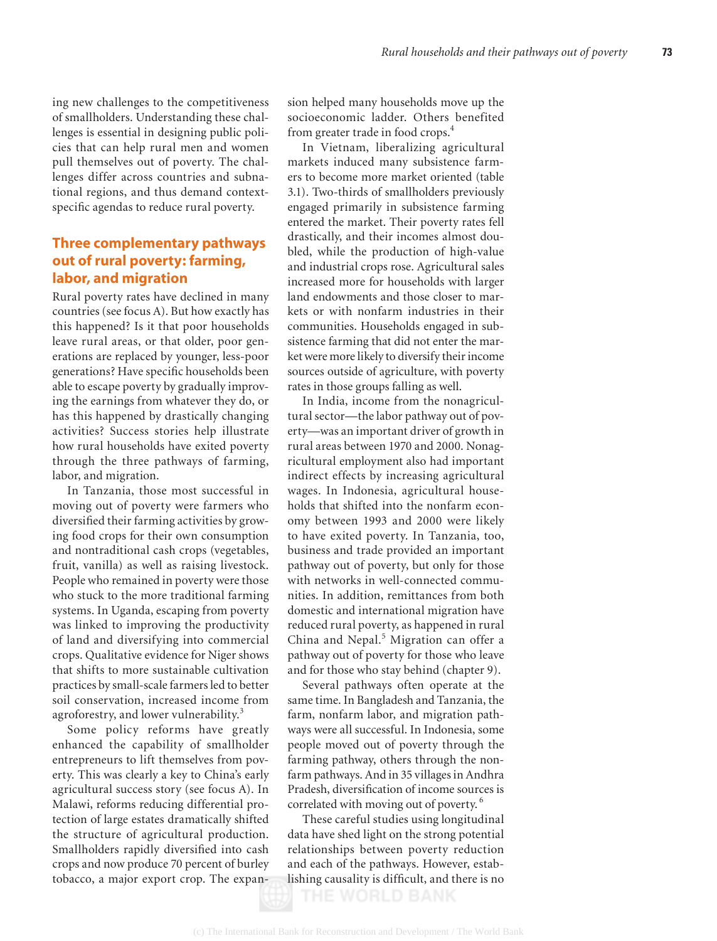ing new challenges to the competitiveness of smallholders. Understanding these challenges is essential in designing public policies that can help rural men and women pull themselves out of poverty. The challenges differ across countries and subnational regions, and thus demand contextspecific agendas to reduce rural poverty.

# **Three complementary pathways out of rural poverty: farming, labor, and migration**

Rural poverty rates have declined in many countries (see focus A). But how exactly has this happened? Is it that poor households leave rural areas, or that older, poor generations are replaced by younger, less-poor generations? Have specific households been able to escape poverty by gradually improving the earnings from whatever they do, or has this happened by drastically changing activities? Success stories help illustrate how rural households have exited poverty through the three pathways of farming, labor, and migration.

In Tanzania, those most successful in moving out of poverty were farmers who diversified their farming activities by growing food crops for their own consumption and nontraditional cash crops (vegetables, fruit, vanilla) as well as raising livestock. People who remained in poverty were those who stuck to the more traditional farming systems. In Uganda, escaping from poverty was linked to improving the productivity of land and diversifying into commercial crops. Qualitative evidence for Niger shows that shifts to more sustainable cultivation practices by small-scale farmers led to better soil conservation, increased income from agroforestry, and lower vulnerability.<sup>3</sup>

Some policy reforms have greatly enhanced the capability of smallholder entrepreneurs to lift themselves from poverty. This was clearly a key to China's early agricultural success story (see focus A). In Malawi, reforms reducing differential protection of large estates dramatically shifted the structure of agricultural production. Smallholders rapidly diversified into cash crops and now produce 70 percent of burley tobacco, a major export crop. The expansion helped many households move up the socioeconomic ladder. Others benefited from greater trade in food crops.<sup>4</sup>

In Vietnam, liberalizing agricultural markets induced many subsistence farmers to become more market oriented (table 3.1). Two-thirds of smallholders previously engaged primarily in subsistence farming entered the market. Their poverty rates fell drastically, and their incomes almost doubled, while the production of high-value and industrial crops rose. Agricultural sales increased more for households with larger land endowments and those closer to markets or with nonfarm industries in their communities. Households engaged in subsistence farming that did not enter the market were more likely to diversify their income sources outside of agriculture, with poverty rates in those groups falling as well.

In India, income from the nonagricultural sector—the labor pathway out of poverty—was an important driver of growth in rural areas between 1970 and 2000. Nonagricultural employment also had important indirect effects by increasing agricultural wages. In Indonesia, agricultural households that shifted into the nonfarm economy between 1993 and 2000 were likely to have exited poverty. In Tanzania, too, business and trade provided an important pathway out of poverty, but only for those with networks in well-connected communities. In addition, remittances from both domestic and international migration have reduced rural poverty, as happened in rural China and Nepal.<sup>5</sup> Migration can offer a pathway out of poverty for those who leave and for those who stay behind (chapter 9).

Several pathways often operate at the same time. In Bangladesh and Tanzania, the farm, nonfarm labor, and migration pathways were all successful. In Indonesia, some people moved out of poverty through the farming pathway, others through the nonfarm pathways. And in 35 villages in Andhra Pradesh, diversification of income sources is correlated with moving out of poverty. 6

These careful studies using longitudinal data have shed light on the strong potential relationships between poverty reduction and each of the pathways. However, establishing causality is difficult, and there is no

(c) The International Bank for Reconstruction and Development / The World Bank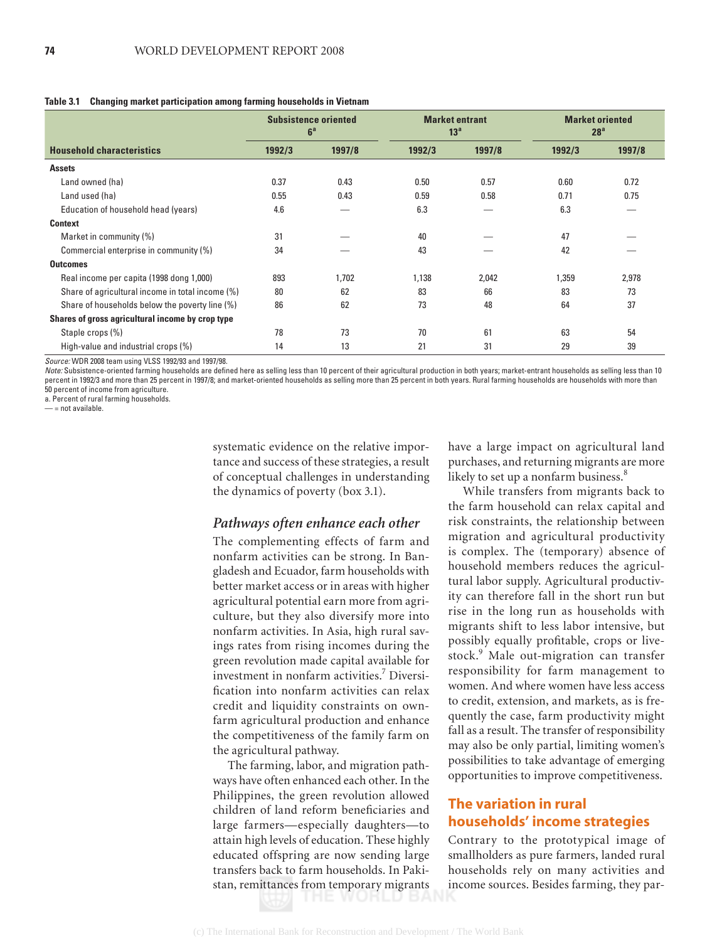#### **Table 3.1 Changing market participation among farming households in Vietnam**

|                                                  | <b>Subsistence oriented</b><br>6 <sup>a</sup> |        | <b>Market entrant</b><br>13 <sup>a</sup> |        | <b>Market oriented</b><br>28 <sup>a</sup> |        |
|--------------------------------------------------|-----------------------------------------------|--------|------------------------------------------|--------|-------------------------------------------|--------|
| <b>Household characteristics</b>                 | 1992/3                                        | 1997/8 | 1992/3                                   | 1997/8 | 1992/3                                    | 1997/8 |
| <b>Assets</b>                                    |                                               |        |                                          |        |                                           |        |
| Land owned (ha)                                  | 0.37                                          | 0.43   | 0.50                                     | 0.57   | 0.60                                      | 0.72   |
| Land used (ha)                                   | 0.55                                          | 0.43   | 0.59                                     | 0.58   | 0.71                                      | 0.75   |
| Education of household head (years)              | 4.6                                           |        | 6.3                                      |        | 6.3                                       |        |
| <b>Context</b>                                   |                                               |        |                                          |        |                                           |        |
| Market in community (%)                          | 31                                            |        | 40                                       |        | 47                                        |        |
| Commercial enterprise in community (%)           | 34                                            |        | 43                                       |        | 42                                        |        |
| <b>Outcomes</b>                                  |                                               |        |                                          |        |                                           |        |
| Real income per capita (1998 dong 1,000)         | 893                                           | 1.702  | 1.138                                    | 2,042  | 1,359                                     | 2,978  |
| Share of agricultural income in total income (%) | 80                                            | 62     | 83                                       | 66     | 83                                        | 73     |
| Share of households below the poverty line (%)   | 86                                            | 62     | 73                                       | 48     | 64                                        | 37     |
| Shares of gross agricultural income by crop type |                                               |        |                                          |        |                                           |        |
| Staple crops (%)                                 | 78                                            | 73     | 70                                       | 61     | 63                                        | 54     |
| High-value and industrial crops (%)              | 14                                            | 13     | 21                                       | 31     | 29                                        | 39     |

Source: WDR 2008 team using VLSS 1992/93 and 1997/98.

Note: Subsistence-oriented farming households are defined here as selling less than 10 percent of their agricultural production in both years; market-entrant households as selling less than 10 percent in 1992/3 and more than 25 percent in 1997/8; and market-oriented households as selling more than 25 percent in both years. Rural farming households are households with more than 50 percent of income from agriculture.

a. Percent of rural farming households.

— = not available.

systematic evidence on the relative importance and success of these strategies, a result of conceptual challenges in understanding the dynamics of poverty (box 3.1).

### *Pathways often enhance each other*

The complementing effects of farm and nonfarm activities can be strong. In Bangladesh and Ecuador, farm households with better market access or in areas with higher agricultural potential earn more from agriculture, but they also diversify more into nonfarm activities. In Asia, high rural savings rates from rising incomes during the green revolution made capital available for investment in nonfarm activities.7 Diversification into nonfarm activities can relax credit and liquidity constraints on ownfarm agricultural production and enhance the competitiveness of the family farm on the agricultural pathway.

The farming, labor, and migration pathways have often enhanced each other. In the Philippines, the green revolution allowed children of land reform beneficiaries and large farmers—especially daughters—to attain high levels of education. These highly educated offspring are now sending large transfers back to farm households. In Pakistan, remittances from temporary migrants

have a large impact on agricultural land purchases, and returning migrants are more likely to set up a nonfarm business.<sup>8</sup>

While transfers from migrants back to the farm household can relax capital and risk constraints, the relationship between migration and agricultural productivity is complex. The (temporary) absence of household members reduces the agricultural labor supply. Agricultural productivity can therefore fall in the short run but rise in the long run as households with migrants shift to less labor intensive, but possibly equally profitable, crops or livestock.<sup>9</sup> Male out-migration can transfer responsibility for farm management to women. And where women have less access to credit, extension, and markets, as is frequently the case, farm productivity might fall as a result. The transfer of responsibility may also be only partial, limiting women's possibilities to take advantage of emerging opportunities to improve competitiveness.

# **The variation in rural households' income strategies**

Contrary to the prototypical image of smallholders as pure farmers, landed rural households rely on many activities and income sources. Besides farming, they par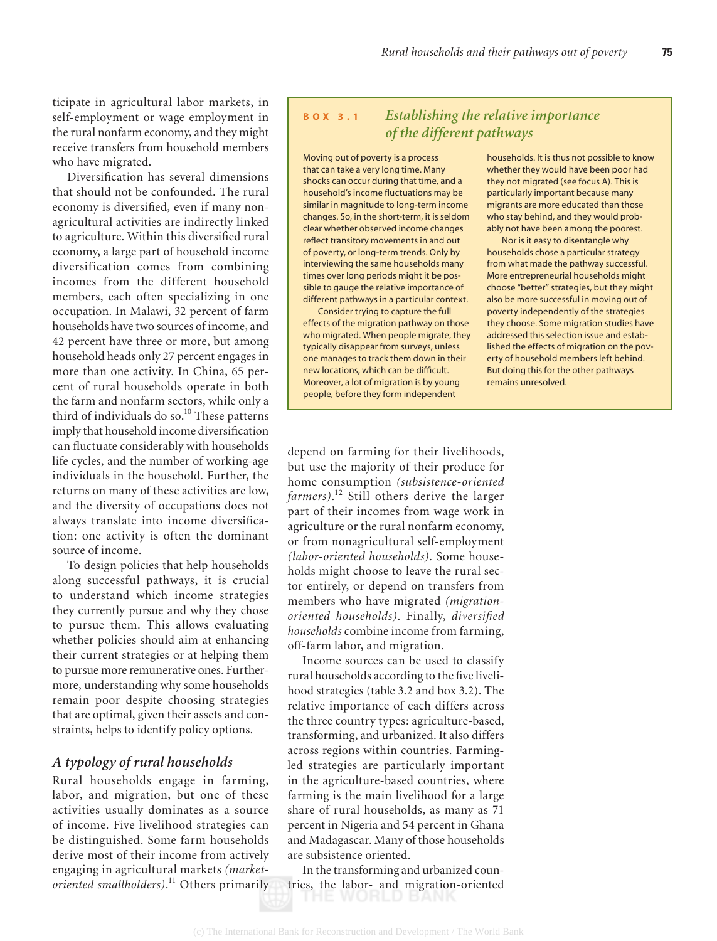ticipate in agricultural labor markets, in self-employment or wage employment in the rural nonfarm economy, and they might receive transfers from household members who have migrated.

Diversification has several dimensions that should not be confounded. The rural economy is diversified, even if many nonagricultural activities are indirectly linked to agriculture. Within this diversified rural economy, a large part of household income diversification comes from combining incomes from the different household members, each often specializing in one occupation. In Malawi, 32 percent of farm households have two sources of income, and 42 percent have three or more, but among household heads only 27 percent engages in more than one activity. In China, 65 percent of rural households operate in both the farm and nonfarm sectors, while only a third of individuals do so.<sup>10</sup> These patterns imply that household income diversification can fluctuate considerably with households life cycles, and the number of working-age individuals in the household. Further, the returns on many of these activities are low, and the diversity of occupations does not always translate into income diversification: one activity is often the dominant source of income.

To design policies that help households along successful pathways, it is crucial to understand which income strategies they currently pursue and why they chose to pursue them. This allows evaluating whether policies should aim at enhancing their current strategies or at helping them to pursue more remunerative ones. Furthermore, understanding why some households remain poor despite choosing strategies that are optimal, given their assets and constraints, helps to identify policy options.

### *A typology of rural households*

Rural households engage in farming, labor, and migration, but one of these activities usually dominates as a source of income. Five livelihood strategies can be distinguished. Some farm households derive most of their income from actively engaging in agricultural markets *(marketoriented smallholders)*. 11 Others primarily

# **BOX 3.1** *Establishing the relative importance of the different pathways*

Moving out of poverty is a process that can take a very long time. Many shocks can occur during that time, and a household's income fluctuations may be similar in magnitude to long-term income changes. So, in the short-term, it is seldom clear whether observed income changes reflect transitory movements in and out of poverty, or long-term trends. Only by interviewing the same households many times over long periods might it be possible to gauge the relative importance of different pathways in a particular context.

Consider trying to capture the full effects of the migration pathway on those who migrated. When people migrate, they typically disappear from surveys, unless one manages to track them down in their new locations, which can be difficult. Moreover, a lot of migration is by young people, before they form independent

households. It is thus not possible to know whether they would have been poor had they not migrated (see focus A). This is particularly important because many migrants are more educated than those who stay behind, and they would probably not have been among the poorest.

Nor is it easy to disentangle why households chose a particular strategy from what made the pathway successful. More entrepreneurial households might choose "better" strategies, but they might also be more successful in moving out of poverty independently of the strategies they choose. Some migration studies have addressed this selection issue and established the effects of migration on the poverty of household members left behind. But doing this for the other pathways remains unresolved.

depend on farming for their livelihoods, but use the majority of their produce for home consumption *(subsistence-oriented farmers)*. 12 Still others derive the larger part of their incomes from wage work in agriculture or the rural nonfarm economy, or from nonagricultural self-employment *(labor-oriented households)*. Some households might choose to leave the rural sector entirely, or depend on transfers from members who have migrated *(migration* $o$ *riented households*). Finally, *diversified households* combine income from farming, off-farm labor, and migration.

Income sources can be used to classify rural households according to the five livelihood strategies (table 3.2 and box 3.2). The relative importance of each differs across the three country types: agriculture-based, transforming, and urbanized. It also differs across regions within countries. Farmingled strategies are particularly important in the agriculture-based countries, where farming is the main livelihood for a large share of rural households, as many as 71 percent in Nigeria and 54 percent in Ghana and Madagascar. Many of those households are subsistence oriented.

In the transforming and urbanized countries, the labor- and migration-oriented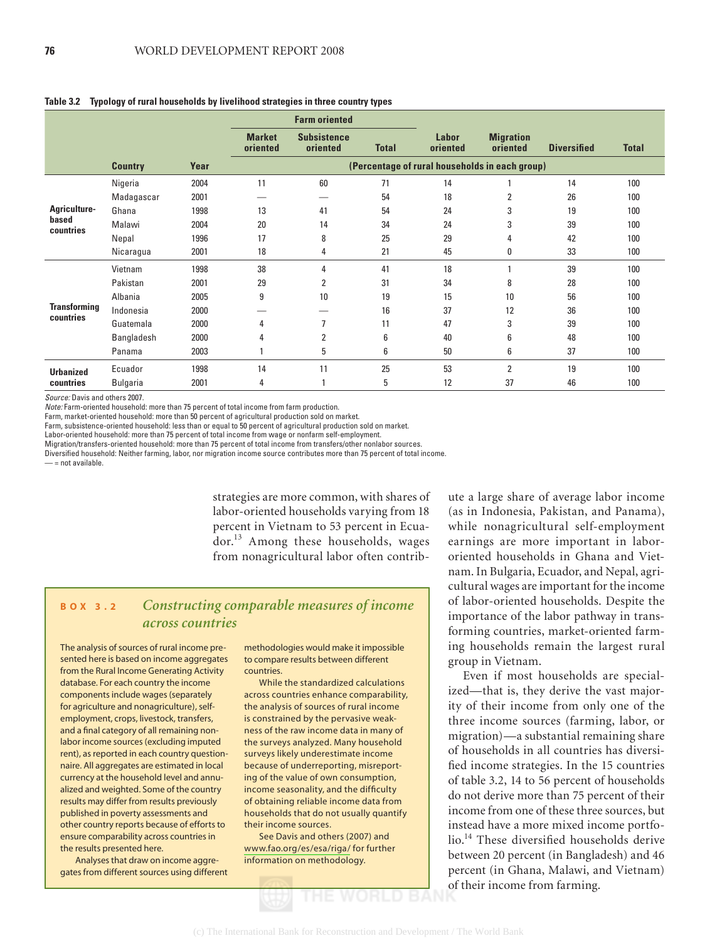| Table 3.2 Typology of rural households by livelihood strategies in three country types |  |  |
|----------------------------------------------------------------------------------------|--|--|
|                                                                                        |  |  |

|                                    |                |      | <b>Farm oriented</b>      |                                                |              |                   |                              |                    |              |  |  |
|------------------------------------|----------------|------|---------------------------|------------------------------------------------|--------------|-------------------|------------------------------|--------------------|--------------|--|--|
|                                    |                |      | <b>Market</b><br>oriented | <b>Subsistence</b><br>oriented                 | <b>Total</b> | Labor<br>oriented | <b>Migration</b><br>oriented | <b>Diversified</b> | <b>Total</b> |  |  |
|                                    | <b>Country</b> | Year |                           | (Percentage of rural households in each group) |              |                   |                              |                    |              |  |  |
| Agriculture-<br>based<br>countries | Nigeria        | 2004 | 11                        | 60                                             | 71           | 14                |                              | 14                 | 100          |  |  |
|                                    | Madagascar     | 2001 |                           |                                                | 54           | 18                | 2                            | 26                 | 100          |  |  |
|                                    | Ghana          | 1998 | 13                        | 41                                             | 54           | 24                | 3                            | 19                 | 100          |  |  |
|                                    | Malawi         | 2004 | 20                        | 14                                             | 34           | 24                | 3                            | 39                 | 100          |  |  |
|                                    | Nepal          | 1996 | 17                        | 8                                              | 25           | 29                | 4                            | 42                 | 100          |  |  |
|                                    | Nicaragua      | 2001 | 18                        | 4                                              | 21           | 45                | 0                            | 33                 | 100          |  |  |
|                                    | Vietnam        | 1998 | 38                        | 4                                              | 41           | 18                | 1                            | 39                 | 100          |  |  |
|                                    | Pakistan       | 2001 | 29                        | $\overline{2}$                                 | 31           | 34                | 8                            | 28                 | 100          |  |  |
| Transforming<br>countries          | Albania        | 2005 | 9                         | 10                                             | 19           | 15                | 10                           | 56                 | 100          |  |  |
|                                    | Indonesia      | 2000 |                           |                                                | 16           | 37                | 12                           | 36                 | 100          |  |  |
|                                    | Guatemala      | 2000 | 4                         | $\overline{1}$                                 | 11           | 47                | 3                            | 39                 | 100          |  |  |
|                                    | Bangladesh     | 2000 | 4                         | 2                                              | 6            | 40                | 6                            | 48                 | 100          |  |  |
|                                    | Panama         | 2003 |                           | 5                                              | 6            | 50                | 6                            | 37                 | 100          |  |  |
| <b>Urbanized</b><br>countries      | Ecuador        | 1998 | 14                        | 11                                             | 25           | 53                | $\overline{2}$               | 19                 | 100          |  |  |
|                                    | Bulgaria       | 2001 | 4                         |                                                | 5            | 12                | 37                           | 46                 | 100          |  |  |

Source: Davis and others 2007.

Note: Farm-oriented household: more than 75 percent of total income from farm production.

Farm, market-oriented household: more than 50 percent of agricultural production sold on market. Farm, subsistence-oriented household: less than or equal to 50 percent of agricultural production sold on market.

Labor-oriented household: more than 75 percent of total income from wage or nonfarm self-employment.

Migration/transfers-oriented household: more than 75 percent of total income from transfers/other nonlabor sources.

Diversified household: Neither farming, labor, nor migration income source contributes more than 75 percent of total income.

— = not available.

strategies are more common, with shares of labor-oriented households varying from 18 percent in Vietnam to 53 percent in Ecuador.13 Among these households, wages from nonagricultural labor often contrib-

### **BOX 3.2** *Constructing comparable measures of income across countries*

The analysis of sources of rural income presented here is based on income aggregates from the Rural Income Generating Activity database. For each country the income components include wages (separately for agriculture and nonagriculture), selfemployment, crops, livestock, transfers, and a final category of all remaining nonlabor income sources (excluding imputed rent), as reported in each country questionnaire. All aggregates are estimated in local currency at the household level and annualized and weighted. Some of the country results may differ from results previously published in poverty assessments and other country reports because of efforts to ensure comparability across countries in the results presented here.

Analyses that draw on income aggregates from different sources using different methodologies would make it impossible to compare results between different countries.

While the standardized calculations across countries enhance comparability, the analysis of sources of rural income is constrained by the pervasive weakness of the raw income data in many of the surveys analyzed. Many household surveys likely underestimate income because of underreporting, misreporting of the value of own consumption, income seasonality, and the difficulty of obtaining reliable income data from households that do not usually quantify their income sources.

See Davis and others (2007) and [www.fao.org/es/esa/riga/](http://www.fao.org/es/esa/riga/) for further information on methodology.

ute a large share of average labor income (as in Indonesia, Pakistan, and Panama), while nonagricultural self-employment earnings are more important in labororiented households in Ghana and Vietnam. In Bulgaria, Ecuador, and Nepal, agricultural wages are important for the income of labor-oriented households. Despite the importance of the labor pathway in transforming countries, market-oriented farming households remain the largest rural group in Vietnam.

Even if most households are specialized—that is, they derive the vast majority of their income from only one of the three income sources (farming, labor, or migration)—a substantial remaining share of households in all countries has diversified income strategies. In the 15 countries of table 3.2, 14 to 56 percent of households do not derive more than 75 percent of their income from one of these three sources, but instead have a more mixed income portfolio.<sup>14</sup> These diversified households derive between 20 percent (in Bangladesh) and 46 percent (in Ghana, Malawi, and Vietnam) of their income from farming.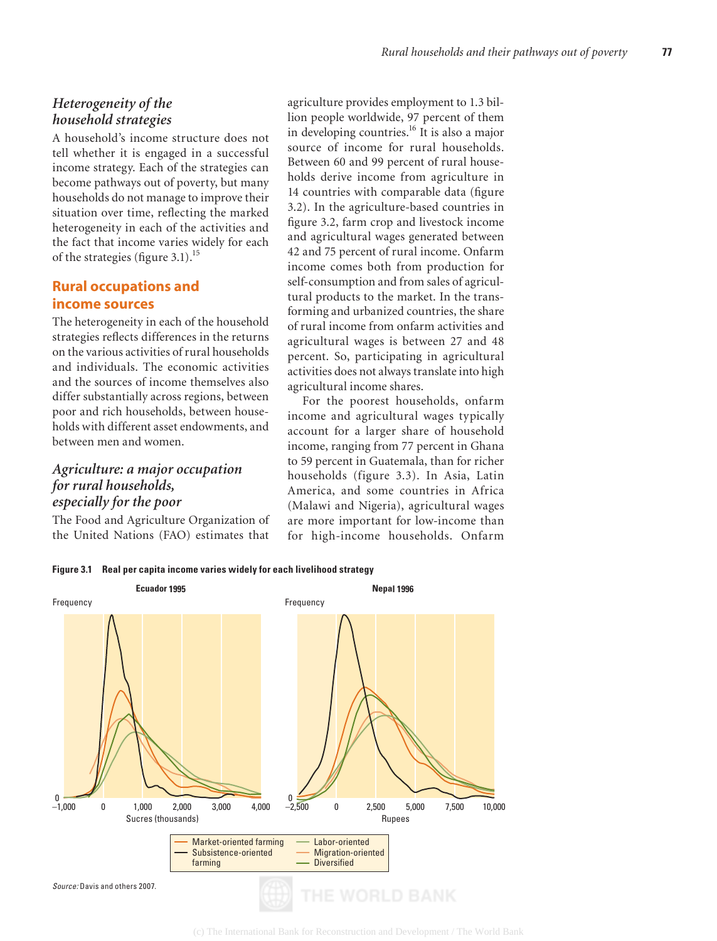# *Heterogeneity of the household strategies*

A household's income structure does not tell whether it is engaged in a successful income strategy. Each of the strategies can become pathways out of poverty, but many households do not manage to improve their situation over time, reflecting the marked heterogeneity in each of the activities and the fact that income varies widely for each of the strategies (figure 3.1).<sup>15</sup>

# **Rural occupations and income sources**

The heterogeneity in each of the household strategies reflects differences in the returns on the various activities of rural households and individuals. The economic activities and the sources of income themselves also differ substantially across regions, between poor and rich households, between households with different asset endowments, and between men and women.

### *Agriculture: a major occupation for rural households, especially for the poor*

The Food and Agriculture Organization of the United Nations (FAO) estimates that

agriculture provides employment to 1.3 billion people worldwide, 97 percent of them in developing countries.16 It is also a major source of income for rural households. Between 60 and 99 percent of rural households derive income from agriculture in 14 countries with comparable data (figure 3.2). In the agriculture-based countries in figure 3.2, farm crop and livestock income and agricultural wages generated between 42 and 75 percent of rural income. Onfarm income comes both from production for self-consumption and from sales of agricultural products to the market. In the transforming and urbanized countries, the share of rural income from onfarm activities and agricultural wages is between 27 and 48 percent. So, participating in agricultural activities does not always translate into high agricultural income shares.

For the poorest households, onfarm income and agricultural wages typically account for a larger share of household income, ranging from 77 percent in Ghana to 59 percent in Guatemala, than for richer households (figure 3.3). In Asia, Latin America, and some countries in Africa (Malawi and Nigeria), agricultural wages are more important for low-income than for high-income households. Onfarm

**Figure 3.1 Real per capita income varies widely for each livelihood strategy**



<sup>(</sup>c) The International Bank for Reconstruction and Development / The World Bank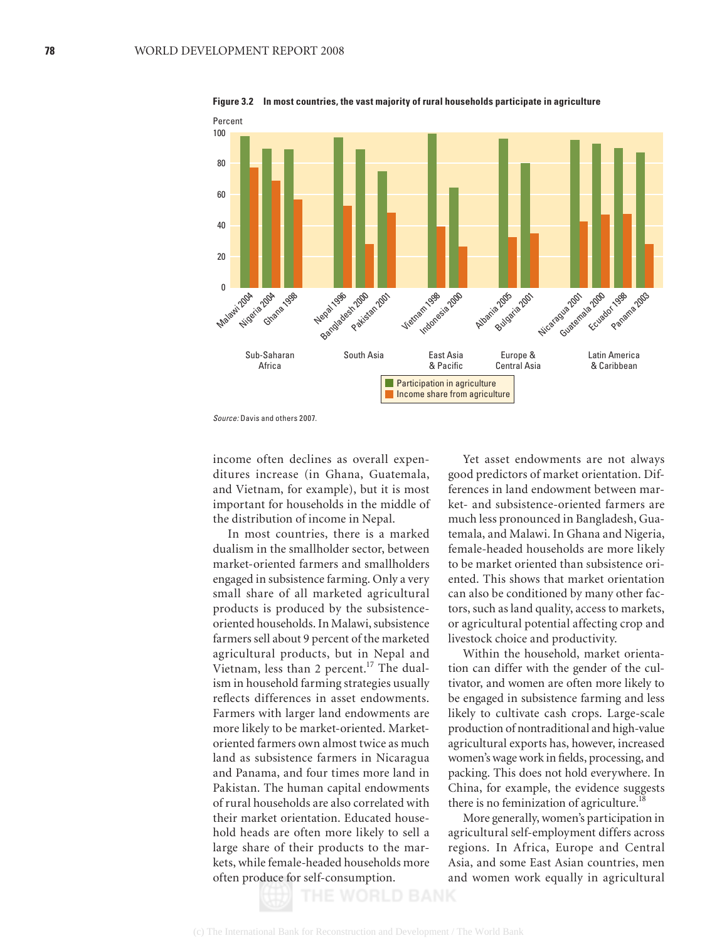

**Figure 3.2 In most countries, the vast majority of rural households participate in agriculture**

Source: Davis and others 2007.

income often declines as overall expenditures increase (in Ghana, Guatemala, and Vietnam, for example), but it is most important for households in the middle of the distribution of income in Nepal.

In most countries, there is a marked dualism in the smallholder sector, between market-oriented farmers and smallholders engaged in subsistence farming. Only a very small share of all marketed agricultural products is produced by the subsistenceoriented households. In Malawi, subsistence farmers sell about 9 percent of the marketed agricultural products, but in Nepal and Vietnam, less than 2 percent.<sup>17</sup> The dualism in household farming strategies usually reflects differences in asset endowments. Farmers with larger land endowments are more likely to be market-oriented. Marketoriented farmers own almost twice as much land as subsistence farmers in Nicaragua and Panama, and four times more land in Pakistan. The human capital endowments of rural households are also correlated with their market orientation. Educated household heads are often more likely to sell a large share of their products to the markets, while female-headed households more often produce for self-consumption.

Yet asset endowments are not always good predictors of market orientation. Differences in land endowment between market- and subsistence-oriented farmers are much less pronounced in Bangladesh, Guatemala, and Malawi. In Ghana and Nigeria, female-headed households are more likely to be market oriented than subsistence oriented. This shows that market orientation can also be conditioned by many other factors, such as land quality, access to markets, or agricultural potential affecting crop and livestock choice and productivity.

Within the household, market orientation can differ with the gender of the cultivator, and women are often more likely to be engaged in subsistence farming and less likely to cultivate cash crops. Large-scale production of nontraditional and high-value agricultural exports has, however, increased women's wage work in fields, processing, and packing. This does not hold everywhere. In China, for example, the evidence suggests there is no feminization of agriculture.<sup>18</sup>

More generally, women's participation in agricultural self-employment differs across regions. In Africa, Europe and Central Asia, and some East Asian countries, men and women work equally in agricultural

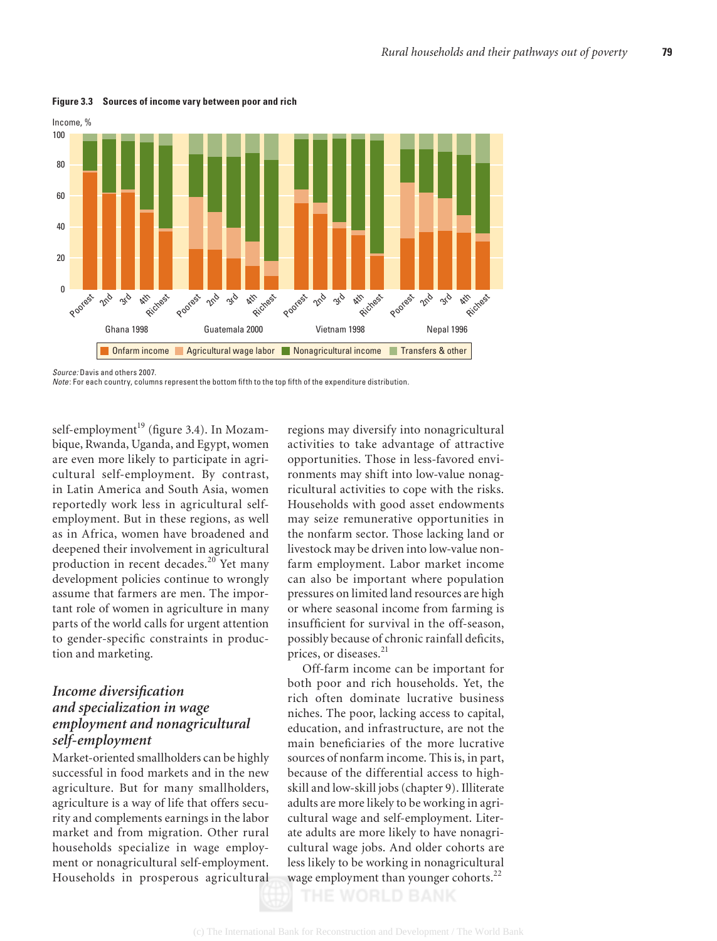

**Figure 3.3 Sources of income vary between poor and rich**

Source: Davis and others 2007.

Note: For each country, columns represent the bottom fifth to the top fifth of the expenditure distribution.

self-employment<sup>19</sup> (figure 3.4). In Mozambique, Rwanda, Uganda, and Egypt, women are even more likely to participate in agricultural self-employment. By contrast, in Latin America and South Asia, women reportedly work less in agricultural selfemployment. But in these regions, as well as in Africa, women have broadened and deepened their involvement in agricultural production in recent decades.<sup>20</sup> Yet many development policies continue to wrongly assume that farmers are men. The important role of women in agriculture in many parts of the world calls for urgent attention to gender-specific constraints in production and marketing.

### *Income diversifi cation and specialization in wage employment and nonagricultural self-employment*

Market-oriented smallholders can be highly successful in food markets and in the new agriculture. But for many smallholders, agriculture is a way of life that offers security and complements earnings in the labor market and from migration. Other rural households specialize in wage employment or nonagricultural self-employment. Households in prosperous agricultural

regions may diversify into nonagricultural activities to take advantage of attractive opportunities. Those in less-favored environments may shift into low-value nonagricultural activities to cope with the risks. Households with good asset endowments may seize remunerative opportunities in the nonfarm sector. Those lacking land or livestock may be driven into low-value nonfarm employment. Labor market income can also be important where population pressures on limited land resources are high or where seasonal income from farming is insufficient for survival in the off-season, possibly because of chronic rainfall deficits, prices, or diseases.<sup>21</sup>

Off-farm income can be important for both poor and rich households. Yet, the rich often dominate lucrative business niches. The poor, lacking access to capital, education, and infrastructure, are not the main beneficiaries of the more lucrative sources of nonfarm income. This is, in part, because of the differential access to highskill and low-skill jobs (chapter 9). Illiterate adults are more likely to be working in agricultural wage and self-employment. Literate adults are more likely to have nonagricultural wage jobs. And older cohorts are less likely to be working in nonagricultural wage employment than younger cohorts. $^{22}$ 

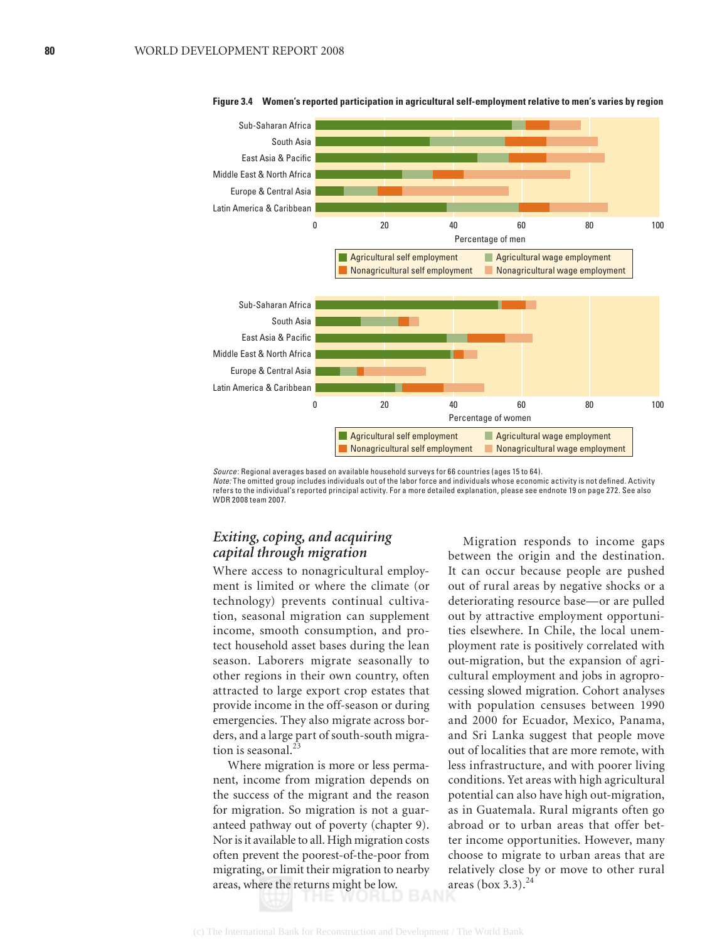

**Figure 3.4 Women's reported participation in agricultural self-employment relative to men's varies by region**

Source: Regional averages based on available household surveys for 66 countries (ages 15 to 64). Note: The omitted group includes individuals out of the labor force and individuals whose economic activity is not defined. Activity refers to the individual's reported principal activity. For a more detailed explanation, please see endnote 19 on page 272. See also WDR 2008 team 2007.

# *Exiting, coping, and acquiring capital through migration*

Where access to nonagricultural employment is limited or where the climate (or technology) prevents continual cultivation, seasonal migration can supplement income, smooth consumption, and protect household asset bases during the lean season. Laborers migrate seasonally to other regions in their own country, often attracted to large export crop estates that provide income in the off-season or during emergencies. They also migrate across borders, and a large part of south-south migration is seasonal. $^{23}$ 

Where migration is more or less permanent, income from migration depends on the success of the migrant and the reason for migration. So migration is not a guaranteed pathway out of poverty (chapter 9). Nor is it available to all. High migration costs often prevent the poorest-of-the-poor from migrating, or limit their migration to nearby areas, where the returns might be low.

Migration responds to income gaps between the origin and the destination. It can occur because people are pushed out of rural areas by negative shocks or a deteriorating resource base—or are pulled out by attractive employment opportunities elsewhere. In Chile, the local unemployment rate is positively correlated with out-migration, but the expansion of agricultural employment and jobs in agroprocessing slowed migration. Cohort analyses with population censuses between 1990 and 2000 for Ecuador, Mexico, Panama, and Sri Lanka suggest that people move out of localities that are more remote, with less infrastructure, and with poorer living conditions. Yet areas with high agricultural potential can also have high out-migration, as in Guatemala. Rural migrants often go abroad or to urban areas that offer better income opportunities. However, many choose to migrate to urban areas that are relatively close by or move to other rural areas (box  $3.3$ ).<sup>24</sup>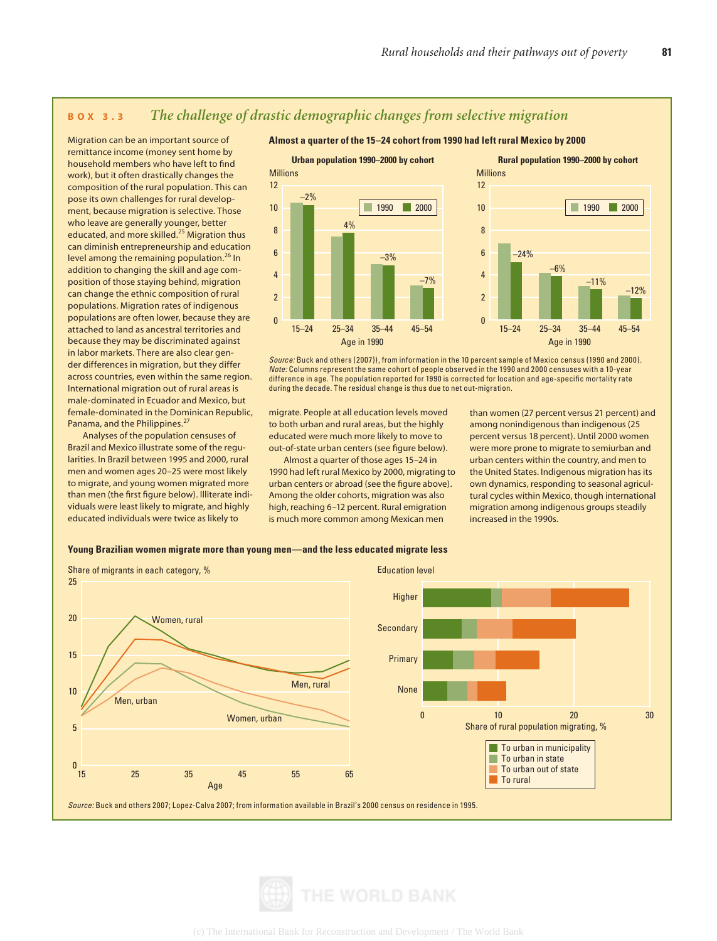# **BOX 3.3** *The challenge of drastic demographic changes from selective migration*

Migration can be an important source of remittance income (money sent home by household members who have left to find work), but it often drastically changes the composition of the rural population. This can pose its own challenges for rural development, because migration is selective. Those who leave are generally younger, better educated, and more skilled.<sup>25</sup> Migration thus can diminish entrepreneurship and education level among the remaining population.26 In addition to changing the skill and age composition of those staying behind, migration can change the ethnic composition of rural populations. Migration rates of indigenous populations are often lower, because they are attached to land as ancestral territories and because they may be discriminated against in labor markets. There are also clear gender differences in migration, but they differ across countries, even within the same region. International migration out of rural areas is male-dominated in Ecuador and Mexico, but female-dominated in the Dominican Republic, Panama, and the Philippines.<sup>27</sup>

Analyses of the population censuses of Brazil and Mexico illustrate some of the regularities. In Brazil between 1995 and 2000, rural men and women ages 20–25 were most likely to migrate, and young women migrated more than men (the first figure below). Illiterate individuals were least likely to migrate, and highly educated individuals were twice as likely to

**Almost a quarter of the 15–24 cohort from 1990 had left rural Mexico by 2000**





Source: Buck and others (2007)), from information in the 10 percent sample of Mexico census (1990 and 2000). Note: Columns represent the same cohort of people observed in the 1990 and 2000 censuses with a 10-year difference in age. The population reported for 1990 is corrected for location and age-specific mortality rate during the decade. The residual change is thus due to net out-migration.

migrate. People at all education levels moved to both urban and rural areas, but the highly educated were much more likely to move to out-of-state urban centers (see figure below).

Almost a quarter of those ages 15–24 in 1990 had left rural Mexico by 2000, migrating to urban centers or abroad (see the figure above). Among the older cohorts, migration was also high, reaching 6–12 percent. Rural emigration is much more common among Mexican men

than women (27 percent versus 21 percent) and among nonindigenous than indigenous (25 percent versus 18 percent). Until 2000 women were more prone to migrate to semiurban and urban centers within the country, and men to the United States. Indigenous migration has its own dynamics, responding to seasonal agricultural cycles within Mexico, though international migration among indigenous groups steadily increased in the 1990s.

**Young Brazilian women migrate more than young men—and the less educated migrate less**



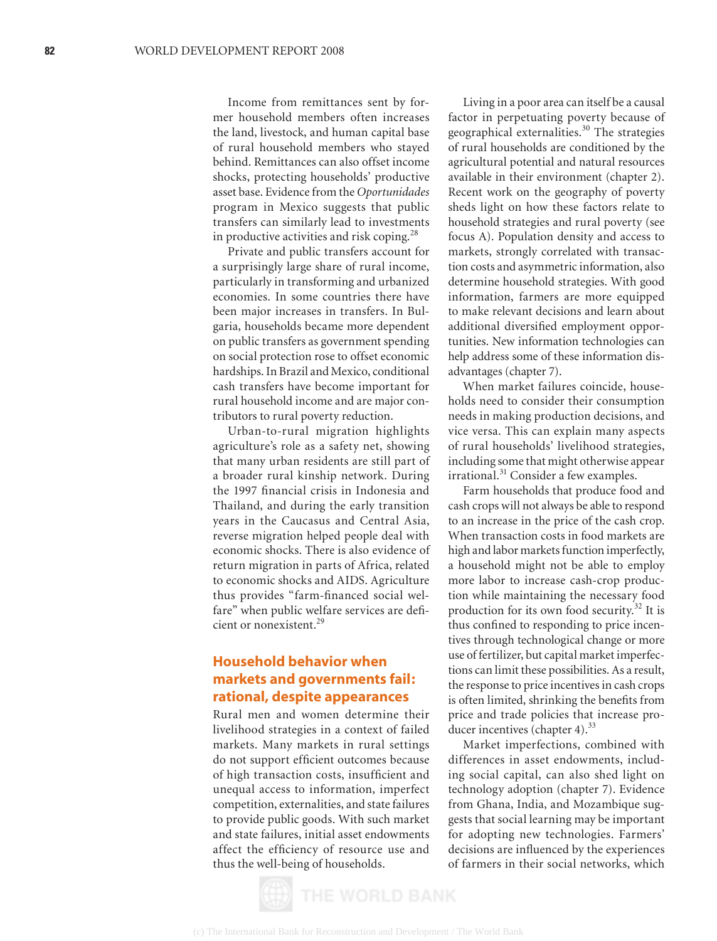Income from remittances sent by former household members often increases the land, livestock, and human capital base of rural household members who stayed behind. Remittances can also offset income shocks, protecting households' productive asset base. Evidence from the *Oportunidades*  program in Mexico suggests that public transfers can similarly lead to investments in productive activities and risk coping.<sup>28</sup>

Private and public transfers account for a surprisingly large share of rural income, particularly in transforming and urbanized economies. In some countries there have been major increases in transfers. In Bulgaria, households became more dependent on public transfers as government spending on social protection rose to offset economic hardships. In Brazil and Mexico, conditional cash transfers have become important for rural household income and are major contributors to rural poverty reduction.

Urban-to-rural migration highlights agriculture's role as a safety net, showing that many urban residents are still part of a broader rural kinship network. During the 1997 financial crisis in Indonesia and Thailand, and during the early transition years in the Caucasus and Central Asia, reverse migration helped people deal with economic shocks. There is also evidence of return migration in parts of Africa, related to economic shocks and AIDS. Agriculture thus provides "farm-financed social welfare" when public welfare services are deficient or nonexistent.<sup>29</sup>

# **Household behavior when markets and governments fail: rational, despite appearances**

Rural men and women determine their livelihood strategies in a context of failed markets. Many markets in rural settings do not support efficient outcomes because of high transaction costs, insufficient and unequal access to information, imperfect competition, externalities, and state failures to provide public goods. With such market and state failures, initial asset endowments affect the efficiency of resource use and thus the well-being of households.

Living in a poor area can itself be a causal factor in perpetuating poverty because of geographical externalities.<sup>30</sup> The strategies of rural households are conditioned by the agricultural potential and natural resources available in their environment (chapter 2). Recent work on the geography of poverty sheds light on how these factors relate to household strategies and rural poverty (see focus A). Population density and access to markets, strongly correlated with transaction costs and asymmetric information, also determine household strategies. With good information, farmers are more equipped to make relevant decisions and learn about additional diversified employment opportunities. New information technologies can help address some of these information disadvantages (chapter 7).

When market failures coincide, households need to consider their consumption needs in making production decisions, and vice versa. This can explain many aspects of rural households' livelihood strategies, including some that might otherwise appear irrational.<sup>31</sup> Consider a few examples.

Farm households that produce food and cash crops will not always be able to respond to an increase in the price of the cash crop. When transaction costs in food markets are high and labor markets function imperfectly, a household might not be able to employ more labor to increase cash-crop production while maintaining the necessary food production for its own food security.<sup>32</sup> It is thus confined to responding to price incentives through technological change or more use of fertilizer, but capital market imperfections can limit these possibilities. As a result, the response to price incentives in cash crops is often limited, shrinking the benefits from price and trade policies that increase producer incentives (chapter 4).<sup>33</sup>

Market imperfections, combined with differences in asset endowments, including social capital, can also shed light on technology adoption (chapter 7). Evidence from Ghana, India, and Mozambique suggests that social learning may be important for adopting new technologies. Farmers' decisions are influenced by the experiences of farmers in their social networks, which

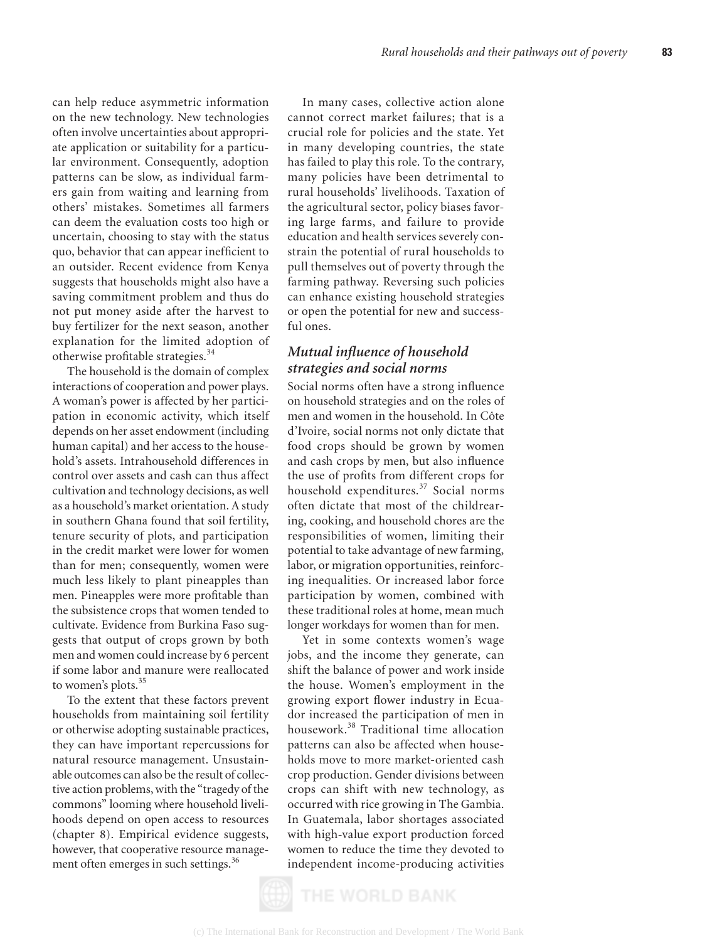can help reduce asymmetric information on the new technology. New technologies often involve uncertainties about appropriate application or suitability for a particular environment. Consequently, adoption patterns can be slow, as individual farmers gain from waiting and learning from others' mistakes. Sometimes all farmers can deem the evaluation costs too high or uncertain, choosing to stay with the status quo, behavior that can appear inefficient to an outsider. Recent evidence from Kenya suggests that households might also have a saving commitment problem and thus do not put money aside after the harvest to buy fertilizer for the next season, another explanation for the limited adoption of otherwise profitable strategies.<sup>34</sup>

The household is the domain of complex interactions of cooperation and power plays. A woman's power is affected by her participation in economic activity, which itself depends on her asset endowment (including human capital) and her access to the household's assets. Intrahousehold differences in control over assets and cash can thus affect cultivation and technology decisions, as well as a household's market orientation. A study in southern Ghana found that soil fertility, tenure security of plots, and participation in the credit market were lower for women than for men; consequently, women were much less likely to plant pineapples than men. Pineapples were more profitable than the subsistence crops that women tended to cultivate. Evidence from Burkina Faso suggests that output of crops grown by both men and women could increase by 6 percent if some labor and manure were reallocated to women's plots.<sup>35</sup>

To the extent that these factors prevent households from maintaining soil fertility or otherwise adopting sustainable practices, they can have important repercussions for natural resource management. Unsustainable outcomes can also be the result of collective action problems, with the "tragedy of the commons" looming where household livelihoods depend on open access to resources (chapter 8). Empirical evidence suggests, however, that cooperative resource management often emerges in such settings.<sup>36</sup>

In many cases, collective action alone cannot correct market failures; that is a crucial role for policies and the state. Yet in many developing countries, the state has failed to play this role. To the contrary, many policies have been detrimental to rural households' livelihoods. Taxation of the agricultural sector, policy biases favoring large farms, and failure to provide education and health services severely constrain the potential of rural households to pull themselves out of poverty through the farming pathway. Reversing such policies can enhance existing household strategies or open the potential for new and successful ones.

### *Mutual infl uence of household strategies and social norms*

Social norms often have a strong influence on household strategies and on the roles of men and women in the household. In Côte d'Ivoire, social norms not only dictate that food crops should be grown by women and cash crops by men, but also influence the use of profits from different crops for household expenditures.<sup>37</sup> Social norms often dictate that most of the childrearing, cooking, and household chores are the responsibilities of women, limiting their potential to take advantage of new farming, labor, or migration opportunities, reinforcing inequalities. Or increased labor force participation by women, combined with these traditional roles at home, mean much longer workdays for women than for men.

Yet in some contexts women's wage jobs, and the income they generate, can shift the balance of power and work inside the house. Women's employment in the growing export flower industry in Ecuador increased the participation of men in housework.38 Traditional time allocation patterns can also be affected when households move to more market-oriented cash crop production. Gender divisions between crops can shift with new technology, as occurred with rice growing in The Gambia. In Guatemala, labor shortages associated with high-value export production forced women to reduce the time they devoted to independent income-producing activities

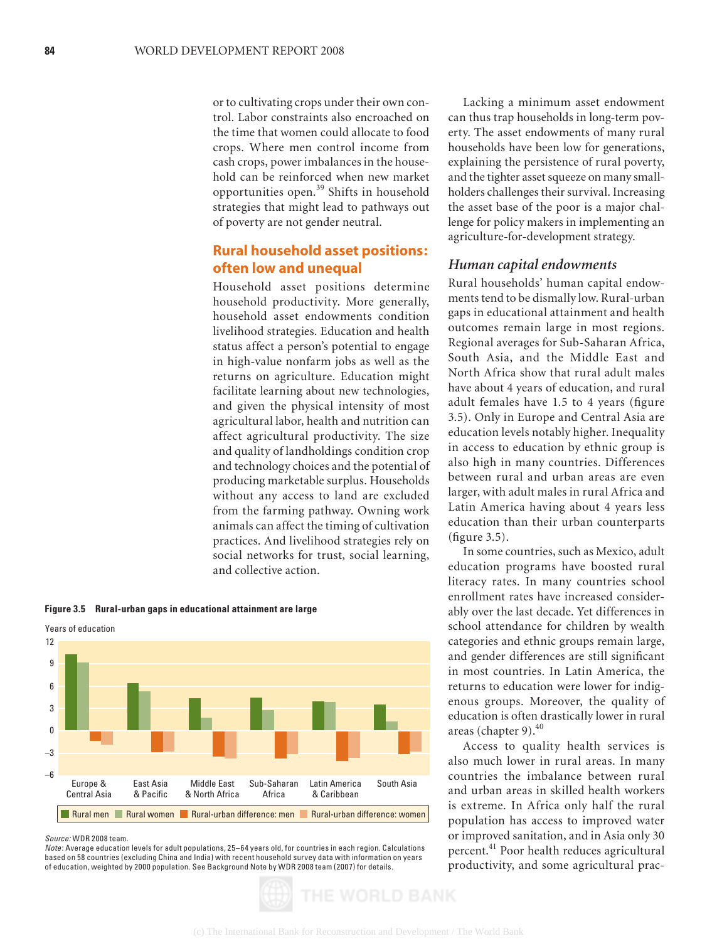or to cultivating crops under their own control. Labor constraints also encroached on the time that women could allocate to food crops. Where men control income from cash crops, power imbalances in the household can be reinforced when new market opportunities open.39 Shifts in household strategies that might lead to pathways out of poverty are not gender neutral.

# **Rural household asset positions: often low and unequal**

Household asset positions determine household productivity. More generally, household asset endowments condition livelihood strategies. Education and health status affect a person's potential to engage in high-value nonfarm jobs as well as the returns on agriculture. Education might facilitate learning about new technologies, and given the physical intensity of most agricultural labor, health and nutrition can affect agricultural productivity. The size and quality of landholdings condition crop and technology choices and the potential of producing marketable surplus. Households without any access to land are excluded from the farming pathway. Owning work animals can affect the timing of cultivation practices. And livelihood strategies rely on social networks for trust, social learning, and collective action.

#### **Figure 3.5 Rural-urban gaps in educational attainment are large**



#### Source: WDR 2008 team.

Note: Average education levels for adult populations, 25–64 years old, for countries in each region. Calculations based on 58 countries (excluding China and India) with recent household survey data with information on years of education, weighted by 2000 population. See Background Note by WDR 2008 team (2007) for details.

Lacking a minimum asset endowment can thus trap households in long-term poverty. The asset endowments of many rural households have been low for generations, explaining the persistence of rural poverty, and the tighter asset squeeze on many smallholders challenges their survival. Increasing the asset base of the poor is a major challenge for policy makers in implementing an agriculture-for-development strategy.

#### *Human capital endowments*

Rural households' human capital endowments tend to be dismally low. Rural-urban gaps in educational attainment and health outcomes remain large in most regions. Regional averages for Sub-Saharan Africa, South Asia, and the Middle East and North Africa show that rural adult males have about 4 years of education, and rural adult females have 1.5 to 4 years (figure 3.5). Only in Europe and Central Asia are education levels notably higher. Inequality in access to education by ethnic group is also high in many countries. Differences between rural and urban areas are even larger, with adult males in rural Africa and Latin America having about 4 years less education than their urban counterparts  $(figure 3.5)$ .

In some countries, such as Mexico, adult education programs have boosted rural literacy rates. In many countries school enrollment rates have increased considerably over the last decade. Yet differences in school attendance for children by wealth categories and ethnic groups remain large, and gender differences are still significant in most countries. In Latin America, the returns to education were lower for indigenous groups. Moreover, the quality of education is often drastically lower in rural areas (chapter 9).<sup>40</sup>

Access to quality health services is also much lower in rural areas. In many countries the imbalance between rural and urban areas in skilled health workers is extreme. In Africa only half the rural population has access to improved water or improved sanitation, and in Asia only 30 percent.41 Poor health reduces agricultural productivity, and some agricultural prac-

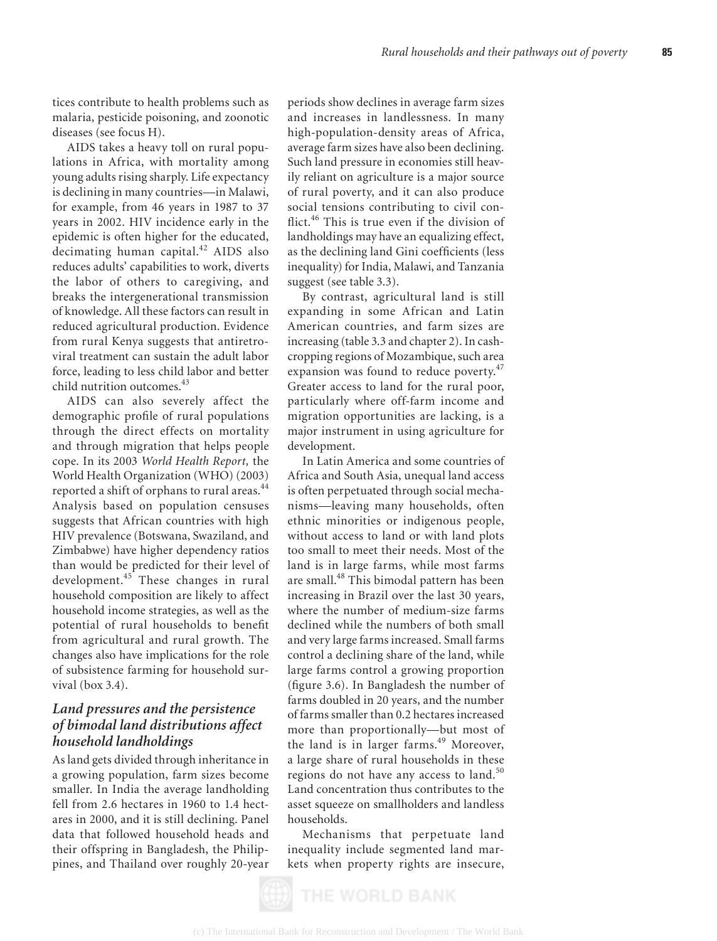tices contribute to health problems such as malaria, pesticide poisoning, and zoonotic diseases (see focus H).

AIDS takes a heavy toll on rural populations in Africa, with mortality among young adults rising sharply. Life expectancy is declining in many countries—in Malawi, for example, from 46 years in 1987 to 37 years in 2002. HIV incidence early in the epidemic is often higher for the educated, decimating human capital.<sup>42</sup> AIDS also reduces adults' capabilities to work, diverts the labor of others to caregiving, and breaks the intergenerational transmission of knowledge. All these factors can result in reduced agricultural production. Evidence from rural Kenya suggests that antiretroviral treatment can sustain the adult labor force, leading to less child labor and better child nutrition outcomes.<sup>43</sup>

AIDS can also severely affect the demographic profile of rural populations through the direct effects on mortality and through migration that helps people cope. In its 2003 *World Health Report,* the World Health Organization (WHO) (2003) reported a shift of orphans to rural areas.<sup>44</sup> Analysis based on population censuses suggests that African countries with high HIV prevalence (Botswana, Swaziland, and Zimbabwe) have higher dependency ratios than would be predicted for their level of development.<sup>45</sup> These changes in rural household composition are likely to affect household income strategies, as well as the potential of rural households to benefit from agricultural and rural growth. The changes also have implications for the role of subsistence farming for household survival (box 3.4).

### *Land pressures and the persistence of bimodal land distributions affect household landholdings*

As land gets divided through inheritance in a growing population, farm sizes become smaller. In India the average landholding fell from 2.6 hectares in 1960 to 1.4 hectares in 2000, and it is still declining. Panel data that followed household heads and their offspring in Bangladesh, the Philippines, and Thailand over roughly 20-year periods show declines in average farm sizes and increases in landlessness. In many high-population-density areas of Africa, average farm sizes have also been declining. Such land pressure in economies still heavily reliant on agriculture is a major source of rural poverty, and it can also produce social tensions contributing to civil conflict. $46$  This is true even if the division of landholdings may have an equalizing effect, as the declining land Gini coefficients (less inequality) for India, Malawi, and Tanzania suggest (see table 3.3).

By contrast, agricultural land is still expanding in some African and Latin American countries, and farm sizes are increasing (table 3.3 and chapter 2). In cashcropping regions of Mozambique, such area expansion was found to reduce poverty.<sup>47</sup> Greater access to land for the rural poor, particularly where off-farm income and migration opportunities are lacking, is a major instrument in using agriculture for development.

In Latin America and some countries of Africa and South Asia, unequal land access is often perpetuated through social mechanisms—leaving many households, often ethnic minorities or indigenous people, without access to land or with land plots too small to meet their needs. Most of the land is in large farms, while most farms are small.<sup>48</sup> This bimodal pattern has been increasing in Brazil over the last 30 years, where the number of medium-size farms declined while the numbers of both small and very large farms increased. Small farms control a declining share of the land, while large farms control a growing proportion (figure 3.6). In Bangladesh the number of farms doubled in 20 years, and the number of farms smaller than 0.2 hectares increased more than proportionally—but most of the land is in larger farms.<sup>49</sup> Moreover, a large share of rural households in these regions do not have any access to land.<sup>50</sup> Land concentration thus contributes to the asset squeeze on smallholders and landless households.

Mechanisms that perpetuate land inequality include segmented land markets when property rights are insecure,

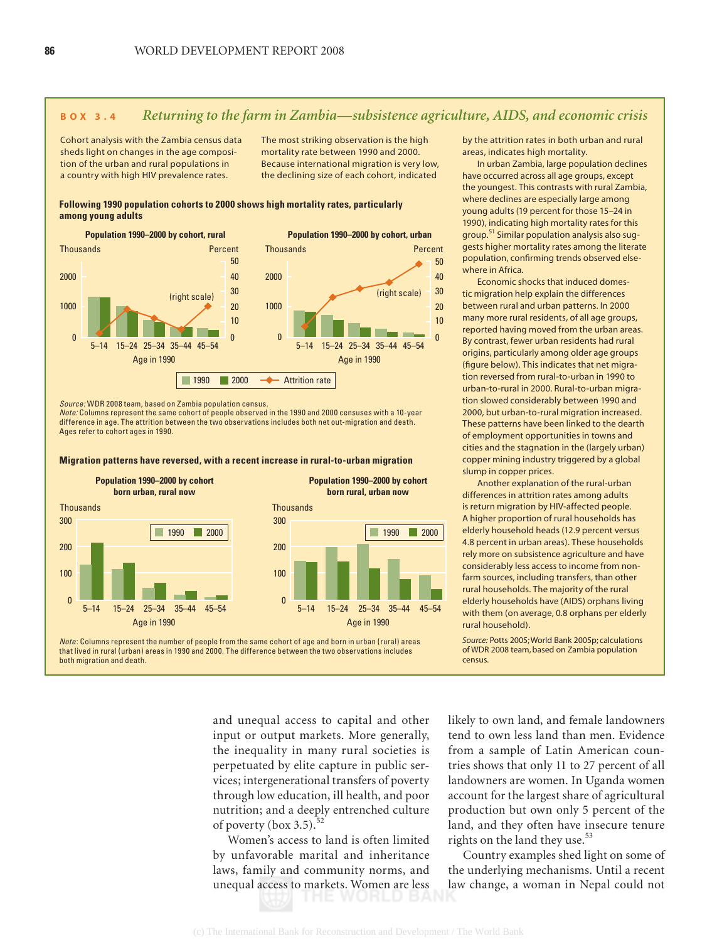# **BOX 3.4** *Returning to the farm in Zambia—subsistence agriculture, AIDS, and economic crisis*

Cohort analysis with the Zambia census data sheds light on changes in the age composition of the urban and rural populations in a country with high HIV prevalence rates.

The most striking observation is the high mortality rate between 1990 and 2000. Because international migration is very low, the declining size of each cohort, indicated

**Following 1990 population cohorts to 2000 shows high mortality rates, particularly among young adults**



Source: WDR 2008 team, based on Zambia population census.

Note: Columns represent the same cohort of people observed in the 1990 and 2000 censuses with a 10-year difference in age. The attrition between the two observations includes both net out-migration and death. Ages refer to cohort ages in 1990.

**Migration patterns have reversed, with a recent increase in rural-to-urban migration**

100 1990 2000 **Thousands** 35–44 45–54 Age in 1990 **Population 1990–2000 by cohort born urban, rural now Population 1990–2000 by cohort born rural, urban now** 100 1990 2000 **Thousands** 35–44 45–54 Age in 1990 200  $5 - 14$   $15 - 24$  $\mathbf{0}$ 300 200 5–14 15–24 25–34  $\mathbf{0}$ 300

Note: Columns represent the number of people from the same cohort of age and born in urban (rural) areas that lived in rural (urban) areas in 1990 and 2000. The difference between the two observations includes both migration and death.

by the attrition rates in both urban and rural areas, indicates high mortality.

In urban Zambia, large population declines have occurred across all age groups, except the youngest. This contrasts with rural Zambia, where declines are especially large among young adults (19 percent for those 15–24 in 1990), indicating high mortality rates for this group.51 Similar population analysis also suggests higher mortality rates among the literate population, confirming trends observed elsewhere in Africa.

Economic shocks that induced domestic migration help explain the differences between rural and urban patterns. In 2000 many more rural residents, of all age groups, reported having moved from the urban areas. By contrast, fewer urban residents had rural origins, particularly among older age groups (figure below). This indicates that net migration reversed from rural-to-urban in 1990 to urban-to-rural in 2000. Rural-to-urban migration slowed considerably between 1990 and 2000, but urban-to-rural migration increased. These patterns have been linked to the dearth of employment opportunities in towns and cities and the stagnation in the (largely urban) copper mining industry triggered by a global slump in copper prices.

Another explanation of the rural-urban differences in attrition rates among adults is return migration by HIV-affected people. A higher proportion of rural households has elderly household heads (12.9 percent versus 4.8 percent in urban areas). These households rely more on subsistence agriculture and have considerably less access to income from nonfarm sources, including transfers, than other rural households. The majority of the rural elderly households have (AIDS) orphans living with them (on average, 0.8 orphans per elderly rural household).

*Source:* Potts 2005; World Bank 2005p; calculations of WDR 2008 team, based on Zambia population census.

and unequal access to capital and other input or output markets. More generally, the inequality in many rural societies is perpetuated by elite capture in public services; intergenerational transfers of poverty through low education, ill health, and poor nutrition; and a deeply entrenched culture of poverty (box 3.5). $52$ 

Women's access to land is often limited by unfavorable marital and inheritance laws, family and community norms, and unequal access to markets. Women are less likely to own land, and female landowners tend to own less land than men. Evidence from a sample of Latin American countries shows that only 11 to 27 percent of all landowners are women. In Uganda women account for the largest share of agricultural production but own only 5 percent of the land, and they often have insecure tenure rights on the land they use.<sup>53</sup>

Country examples shed light on some of the underlying mechanisms. Until a recent law change, a woman in Nepal could not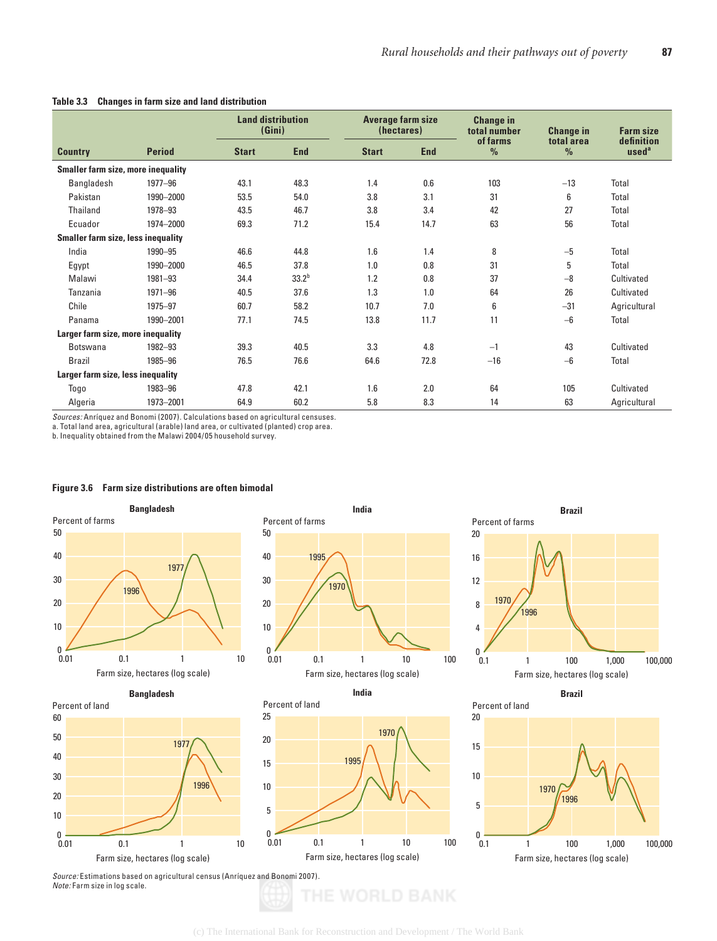|                                           |               |              | <b>Land distribution</b><br>(Gini) |              | <b>Average farm size</b><br>(hectares) | <b>Change in</b><br>total number | <b>Change in</b>            | <b>Farm size</b>                |
|-------------------------------------------|---------------|--------------|------------------------------------|--------------|----------------------------------------|----------------------------------|-----------------------------|---------------------------------|
| <b>Country</b>                            | <b>Period</b> | <b>Start</b> | <b>End</b>                         | <b>Start</b> | <b>End</b>                             | of farms<br>$\frac{0}{0}$        | total area<br>$\frac{0}{0}$ | definition<br>used <sup>a</sup> |
| <b>Smaller farm size, more inequality</b> |               |              |                                    |              |                                        |                                  |                             |                                 |
| Bangladesh                                | 1977-96       | 43.1         | 48.3                               | 1.4          | 0.6                                    | 103                              | $-13$                       | Total                           |
| Pakistan                                  | 1990-2000     | 53.5         | 54.0                               | 3.8          | 3.1                                    | 31                               | 6                           | Total                           |
| Thailand                                  | 1978-93       | 43.5         | 46.7                               | 3.8          | 3.4                                    | 42                               | 27                          | Total                           |
| Ecuador                                   | 1974-2000     | 69.3         | 71.2                               | 15.4         | 14.7                                   | 63                               | 56                          | Total                           |
| <b>Smaller farm size, less inequality</b> |               |              |                                    |              |                                        |                                  |                             |                                 |
| India                                     | 1990-95       | 46.6         | 44.8                               | 1.6          | 1.4                                    | 8                                | $-5$                        | Total                           |
| Egypt                                     | 1990-2000     | 46.5         | 37.8                               | 1.0          | 0.8                                    | 31                               | 5                           | Total                           |
| Malawi                                    | 1981-93       | 34.4         | $33.2^{b}$                         | 1.2          | 0.8                                    | 37                               | $-8$                        | Cultivated                      |
| Tanzania                                  | 1971-96       | 40.5         | 37.6                               | 1.3          | 1.0                                    | 64                               | 26                          | Cultivated                      |
| Chile                                     | 1975-97       | 60.7         | 58.2                               | 10.7         | 7.0                                    | 6                                | $-31$                       | Agricultural                    |
| Panama                                    | 1990-2001     | 77.1         | 74.5                               | 13.8         | 11.7                                   | 11                               | $-6$                        | Total                           |
| Larger farm size, more inequality         |               |              |                                    |              |                                        |                                  |                             |                                 |
| <b>Botswana</b>                           | 1982-93       | 39.3         | 40.5                               | 3.3          | 4.8                                    | $-1$                             | 43                          | Cultivated                      |
| <b>Brazil</b>                             | 1985-96       | 76.5         | 76.6                               | 64.6         | 72.8                                   | $-16$                            | $-6$                        | Total                           |
| Larger farm size, less inequality         |               |              |                                    |              |                                        |                                  |                             |                                 |
| Togo                                      | 1983-96       | 47.8         | 42.1                               | 1.6          | 2.0                                    | 64                               | 105                         | Cultivated                      |
| Algeria                                   | 1973-2001     | 64.9         | 60.2                               | 5.8          | 8.3                                    | 14                               | 63                          | Agricultural                    |

#### **Table 3.3 Changes in farm size and land distribution**

Sources: Anríquez and Bonomi (2007). Calculations based on agricultural censuses.

a. Total land area, agricultural (arable) land area, or cultivated (planted) crop area.

b. Inequality obtained from the Malawi 2004/05 household survey.



**Bangladesh**

#### **Figure 3.6 Farm size distributions are often bimodal**









Source: Estimations based on agricultural census (Anríquez and Bonomi 2007). Note: Farm size in log scale.

1977

1996

0.1 1

Farm size, hectares (log scale)

10

 $\mathbf{0}$ 

0.01

Percent of land

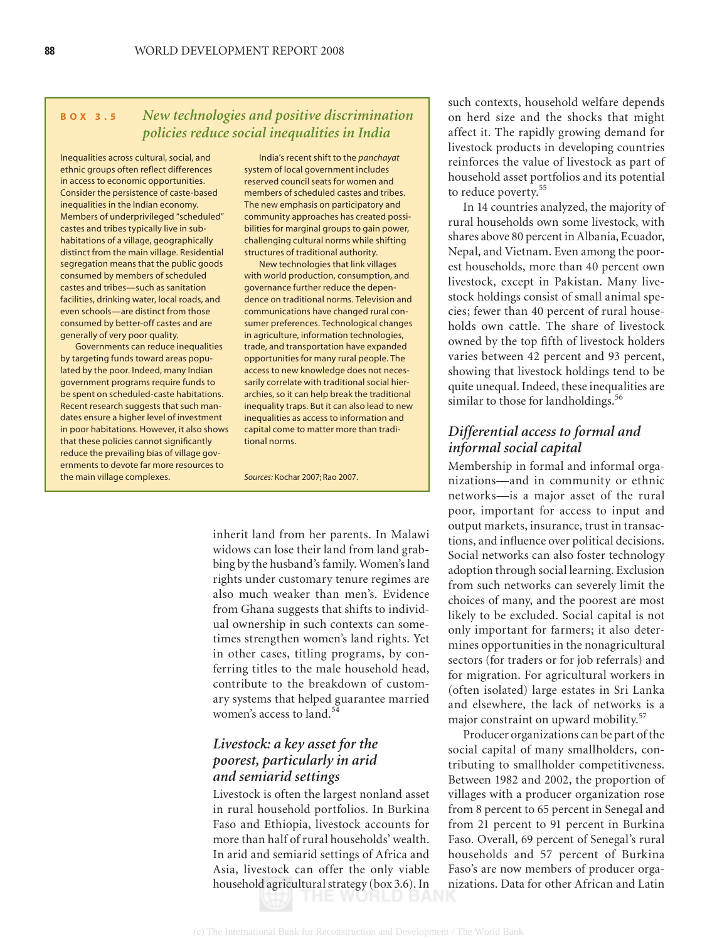### **BOX 3.5** *New technologies and positive discrimination policies reduce social inequalities in India*

Inequalities across cultural, social, and ethnic groups often reflect differences in access to economic opportunities. Consider the persistence of caste-based inequalities in the Indian economy. Members of underprivileged "scheduled" castes and tribes typically live in subhabitations of a village, geographically distinct from the main village. Residential segregation means that the public goods consumed by members of scheduled castes and tribes—such as sanitation facilities, drinking water, local roads, and even schools—are distinct from those consumed by better-off castes and are generally of very poor quality.

Governments can reduce inequalities by targeting funds toward areas populated by the poor. Indeed, many Indian government programs require funds to be spent on scheduled-caste habitations. Recent research suggests that such mandates ensure a higher level of investment in poor habitations. However, it also shows that these policies cannot significantly reduce the prevailing bias of village governments to devote far more resources to the main village complexes.

India's recent shift to the *panchayat* system of local government includes reserved council seats for women and members of scheduled castes and tribes. The new emphasis on participatory and community approaches has created possibilities for marginal groups to gain power, challenging cultural norms while shifting structures of traditional authority.

New technologies that link villages with world production, consumption, and governance further reduce the dependence on traditional norms. Television and communications have changed rural consumer preferences. Technological changes in agriculture, information technologies, trade, and transportation have expanded opportunities for many rural people. The access to new knowledge does not necessarily correlate with traditional social hierarchies, so it can help break the traditional inequality traps. But it can also lead to new inequalities as access to information and capital come to matter more than traditional norms.

*Sources:* Kochar 2007; Rao 2007.

inherit land from her parents. In Malawi widows can lose their land from land grabbing by the husband's family. Women's land rights under customary tenure regimes are also much weaker than men's. Evidence from Ghana suggests that shifts to individual ownership in such contexts can sometimes strengthen women's land rights. Yet in other cases, titling programs, by conferring titles to the male household head, contribute to the breakdown of customary systems that helped guarantee married women's access to land.<sup>54</sup>

## *Livestock: a key asset for the poorest, particularly in arid and semiarid settings*

Livestock is often the largest nonland asset in rural household portfolios. In Burkina Faso and Ethiopia, livestock accounts for more than half of rural households' wealth. In arid and semiarid settings of Africa and Asia, livestock can offer the only viable household agricultural strategy (box 3.6). In

such contexts, household welfare depends on herd size and the shocks that might affect it. The rapidly growing demand for livestock products in developing countries reinforces the value of livestock as part of household asset portfolios and its potential to reduce poverty.<sup>55</sup>

In 14 countries analyzed, the majority of rural households own some livestock, with shares above 80 percent in Albania, Ecuador, Nepal, and Vietnam. Even among the poorest households, more than 40 percent own livestock, except in Pakistan. Many livestock holdings consist of small animal species; fewer than 40 percent of rural households own cattle. The share of livestock owned by the top fifth of livestock holders varies between 42 percent and 93 percent, showing that livestock holdings tend to be quite unequal. Indeed, these inequalities are similar to those for landholdings.<sup>56</sup>

# *Differential access to formal and informal social capital*

Membership in formal and informal organizations—and in community or ethnic networks—is a major asset of the rural poor, important for access to input and output markets, insurance, trust in transactions, and influence over political decisions. Social networks can also foster technology adoption through social learning. Exclusion from such networks can severely limit the choices of many, and the poorest are most likely to be excluded. Social capital is not only important for farmers; it also determines opportunities in the nonagricultural sectors (for traders or for job referrals) and for migration. For agricultural workers in (often isolated) large estates in Sri Lanka and elsewhere, the lack of networks is a major constraint on upward mobility.<sup>57</sup>

Producer organizations can be part of the social capital of many smallholders, contributing to smallholder competitiveness. Between 1982 and 2002, the proportion of villages with a producer organization rose from 8 percent to 65 percent in Senegal and from 21 percent to 91 percent in Burkina Faso. Overall, 69 percent of Senegal's rural households and 57 percent of Burkina Faso's are now members of producer organizations. Data for other African and Latin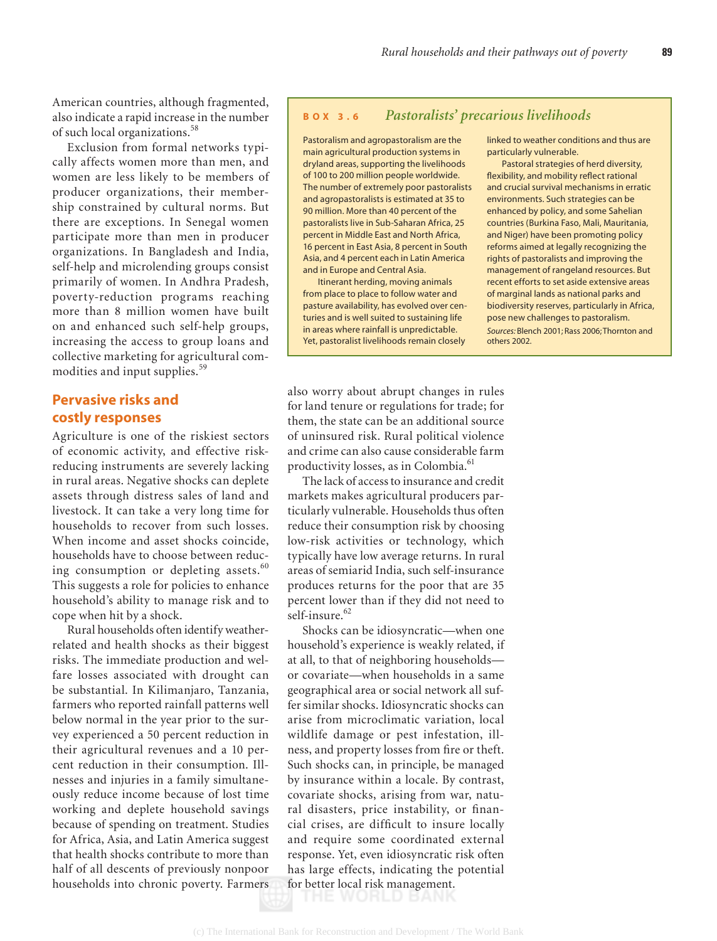American countries, although fragmented, also indicate a rapid increase in the number of such local organizations.<sup>58</sup>

Exclusion from formal networks typically affects women more than men, and women are less likely to be members of producer organizations, their membership constrained by cultural norms. But there are exceptions. In Senegal women participate more than men in producer organizations. In Bangladesh and India, self-help and microlending groups consist primarily of women. In Andhra Pradesh, poverty-reduction programs reaching more than 8 million women have built on and enhanced such self-help groups, increasing the access to group loans and collective marketing for agricultural commodities and input supplies.<sup>59</sup>

# **Pervasive risks and costly responses**

Agriculture is one of the riskiest sectors of economic activity, and effective riskreducing instruments are severely lacking in rural areas. Negative shocks can deplete assets through distress sales of land and livestock. It can take a very long time for households to recover from such losses. When income and asset shocks coincide, households have to choose between reducing consumption or depleting assets.<sup>60</sup> This suggests a role for policies to enhance household's ability to manage risk and to cope when hit by a shock.

Rural households often identify weatherrelated and health shocks as their biggest risks. The immediate production and welfare losses associated with drought can be substantial. In Kilimanjaro, Tanzania, farmers who reported rainfall patterns well below normal in the year prior to the survey experienced a 50 percent reduction in their agricultural revenues and a 10 percent reduction in their consumption. Illnesses and injuries in a family simultaneously reduce income because of lost time working and deplete household savings because of spending on treatment. Studies for Africa, Asia, and Latin America suggest that health shocks contribute to more than half of all descents of previously nonpoor households into chronic poverty. Farmers

### **BOX 3.6** *Pastoralists' precarious livelihoods*

Pastoralism and agropastoralism are the main agricultural production systems in dryland areas, supporting the livelihoods of 100 to 200 million people worldwide. The number of extremely poor pastoralists and agropastoralists is estimated at 35 to 90 million. More than 40 percent of the pastoralists live in Sub-Saharan Africa, 25 percent in Middle East and North Africa, 16 percent in East Asia, 8 percent in South Asia, and 4 percent each in Latin America and in Europe and Central Asia.

Itinerant herding, moving animals from place to place to follow water and pasture availability, has evolved over centuries and is well suited to sustaining life in areas where rainfall is unpredictable. Yet, pastoralist livelihoods remain closely

linked to weather conditions and thus are particularly vulnerable.

Pastoral strategies of herd diversity, flexibility, and mobility reflect rational and crucial survival mechanisms in erratic environments. Such strategies can be enhanced by policy, and some Sahelian countries (Burkina Faso, Mali, Mauritania, and Niger) have been promoting policy reforms aimed at legally recognizing the rights of pastoralists and improving the management of rangeland resources. But recent efforts to set aside extensive areas of marginal lands as national parks and biodiversity reserves, particularly in Africa, pose new challenges to pastoralism. *Sources:* Blench 2001; Rass 2006; Thornton and others 2002.

also worry about abrupt changes in rules for land tenure or regulations for trade; for them, the state can be an additional source of uninsured risk. Rural political violence and crime can also cause considerable farm productivity losses, as in Colombia.<sup>61</sup>

The lack of access to insurance and credit markets makes agricultural producers particularly vulnerable. Households thus often reduce their consumption risk by choosing low-risk activities or technology, which typically have low average returns. In rural areas of semiarid India, such self-insurance produces returns for the poor that are 35 percent lower than if they did not need to self-insure.<sup>62</sup>

Shocks can be idiosyncratic—when one household's experience is weakly related, if at all, to that of neighboring households or covariate—when households in a same geographical area or social network all suffer similar shocks. Idiosyncratic shocks can arise from microclimatic variation, local wildlife damage or pest infestation, illness, and property losses from fire or theft. Such shocks can, in principle, be managed by insurance within a locale. By contrast, covariate shocks, arising from war, natural disasters, price instability, or financial crises, are difficult to insure locally and require some coordinated external response. Yet, even idiosyncratic risk often has large effects, indicating the potential for better local risk management.

(c) The International Bank for Reconstruction and Development / The World Bank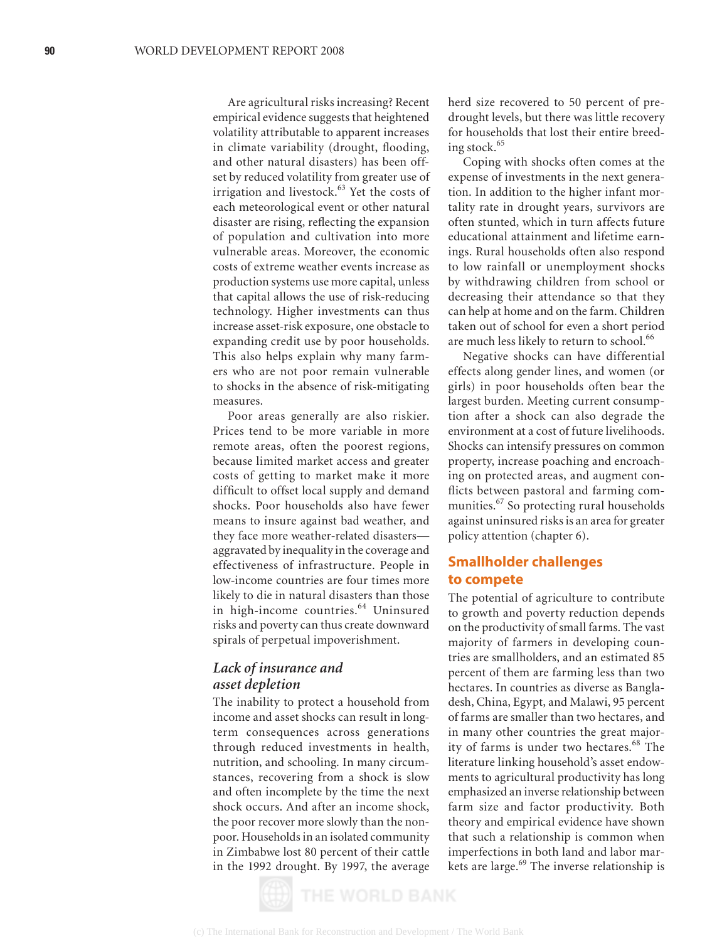Are agricultural risks increasing? Recent empirical evidence suggests that heightened volatility attributable to apparent increases in climate variability (drought, flooding, and other natural disasters) has been offset by reduced volatility from greater use of irrigation and livestock.<sup>63</sup> Yet the costs of each meteorological event or other natural disaster are rising, reflecting the expansion of population and cultivation into more vulnerable areas. Moreover, the economic costs of extreme weather events increase as production systems use more capital, unless that capital allows the use of risk-reducing technology. Higher investments can thus increase asset-risk exposure, one obstacle to expanding credit use by poor households. This also helps explain why many farmers who are not poor remain vulnerable to shocks in the absence of risk-mitigating measures.

Poor areas generally are also riskier. Prices tend to be more variable in more remote areas, often the poorest regions, because limited market access and greater costs of getting to market make it more difficult to offset local supply and demand shocks. Poor households also have fewer means to insure against bad weather, and they face more weather-related disasters aggravated by inequality in the coverage and effectiveness of infrastructure. People in low-income countries are four times more likely to die in natural disasters than those in high-income countries.<sup>64</sup> Uninsured risks and poverty can thus create downward spirals of perpetual impoverishment.

### *Lack of insurance and asset depletion*

The inability to protect a household from income and asset shocks can result in longterm consequences across generations through reduced investments in health, nutrition, and schooling. In many circumstances, recovering from a shock is slow and often incomplete by the time the next shock occurs. And after an income shock, the poor recover more slowly than the nonpoor. Households in an isolated community in Zimbabwe lost 80 percent of their cattle in the 1992 drought. By 1997, the average herd size recovered to 50 percent of predrought levels, but there was little recovery for households that lost their entire breeding stock.<sup>65</sup>

Coping with shocks often comes at the expense of investments in the next generation. In addition to the higher infant mortality rate in drought years, survivors are often stunted, which in turn affects future educational attainment and lifetime earnings. Rural households often also respond to low rainfall or unemployment shocks by withdrawing children from school or decreasing their attendance so that they can help at home and on the farm. Children taken out of school for even a short period are much less likely to return to school.<sup>66</sup>

Negative shocks can have differential effects along gender lines, and women (or girls) in poor households often bear the largest burden. Meeting current consumption after a shock can also degrade the environment at a cost of future livelihoods. Shocks can intensify pressures on common property, increase poaching and encroaching on protected areas, and augment conflicts between pastoral and farming communities.<sup>67</sup> So protecting rural households against uninsured risks is an area for greater policy attention (chapter 6).

### **Smallholder challenges to compete**

The potential of agriculture to contribute to growth and poverty reduction depends on the productivity of small farms. The vast majority of farmers in developing countries are smallholders, and an estimated 85 percent of them are farming less than two hectares. In countries as diverse as Bangladesh, China, Egypt, and Malawi, 95 percent of farms are smaller than two hectares, and in many other countries the great majority of farms is under two hectares.<sup>68</sup> The literature linking household's asset endowments to agricultural productivity has long emphasized an inverse relationship between farm size and factor productivity. Both theory and empirical evidence have shown that such a relationship is common when imperfections in both land and labor markets are large.<sup>69</sup> The inverse relationship is

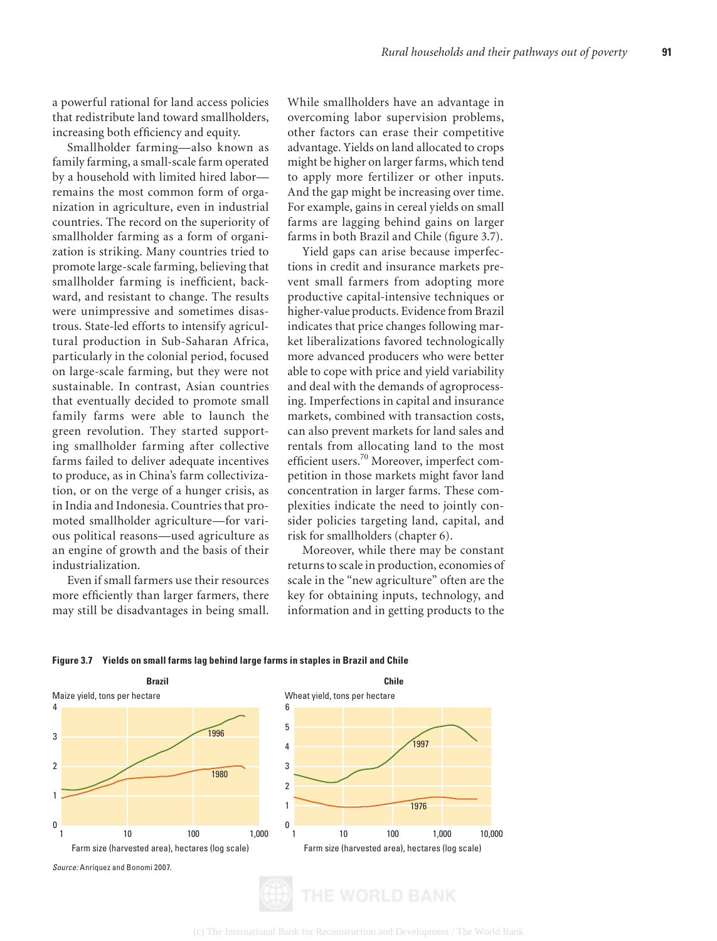a powerful rational for land access policies that redistribute land toward smallholders, increasing both efficiency and equity.

Smallholder farming—also known as family farming, a small-scale farm operated by a household with limited hired labor remains the most common form of organization in agriculture, even in industrial countries. The record on the superiority of smallholder farming as a form of organization is striking. Many countries tried to promote large-scale farming, believing that smallholder farming is inefficient, backward, and resistant to change. The results were unimpressive and sometimes disastrous. State-led efforts to intensify agricultural production in Sub-Saharan Africa, particularly in the colonial period, focused on large-scale farming, but they were not sustainable. In contrast, Asian countries that eventually decided to promote small family farms were able to launch the green revolution. They started supporting smallholder farming after collective farms failed to deliver adequate incentives to produce, as in China's farm collectivization, or on the verge of a hunger crisis, as in India and Indonesia. Countries that promoted smallholder agriculture—for various political reasons—used agriculture as an engine of growth and the basis of their industrialization.

Even if small farmers use their resources more efficiently than larger farmers, there may still be disadvantages in being small.

While smallholders have an advantage in overcoming labor supervision problems, other factors can erase their competitive advantage. Yields on land allocated to crops might be higher on larger farms, which tend to apply more fertilizer or other inputs. And the gap might be increasing over time. For example, gains in cereal yields on small farms are lagging behind gains on larger farms in both Brazil and Chile (figure 3.7).

Yield gaps can arise because imperfections in credit and insurance markets prevent small farmers from adopting more productive capital-intensive techniques or higher-value products. Evidence from Brazil indicates that price changes following market liberalizations favored technologically more advanced producers who were better able to cope with price and yield variability and deal with the demands of agroprocessing. Imperfections in capital and insurance markets, combined with transaction costs, can also prevent markets for land sales and rentals from allocating land to the most efficient users.<sup>70</sup> Moreover, imperfect competition in those markets might favor land concentration in larger farms. These complexities indicate the need to jointly consider policies targeting land, capital, and risk for smallholders (chapter 6).

Moreover, while there may be constant returns to scale in production, economies of scale in the "new agriculture" often are the key for obtaining inputs, technology, and information and in getting products to the

**Figure 3.7 Yields on small farms lag behind large farms in staples in Brazil and Chile**



(c) The International Bank for Reconstruction and Development / The World Bank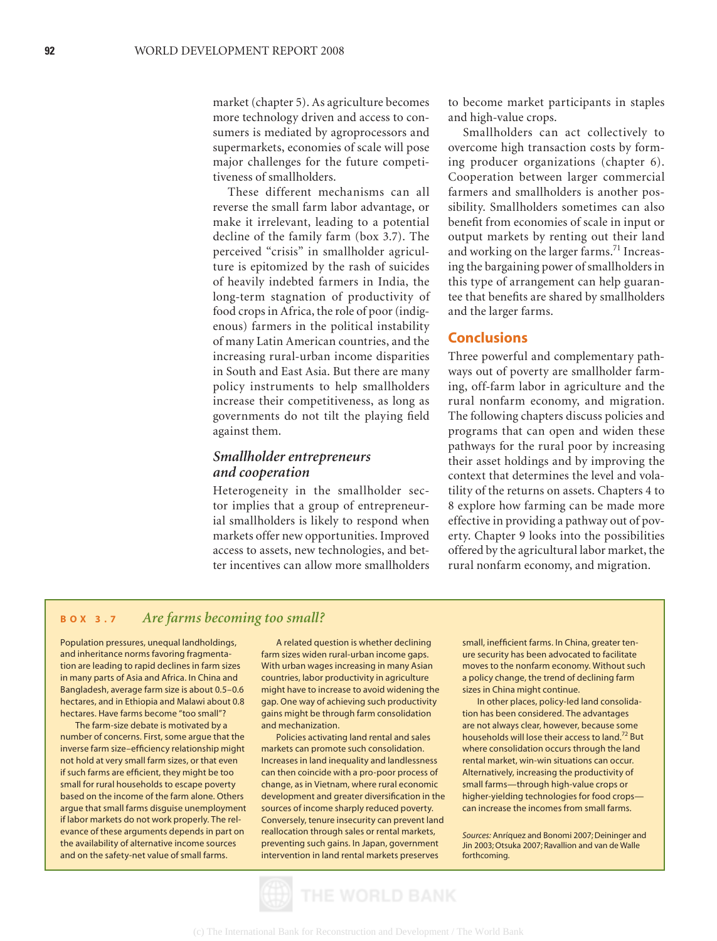market (chapter 5). As agriculture becomes more technology driven and access to consumers is mediated by agroprocessors and supermarkets, economies of scale will pose major challenges for the future competitiveness of smallholders.

These different mechanisms can all reverse the small farm labor advantage, or make it irrelevant, leading to a potential decline of the family farm (box 3.7). The perceived "crisis" in smallholder agriculture is epitomized by the rash of suicides of heavily indebted farmers in India, the long-term stagnation of productivity of food crops in Africa, the role of poor (indigenous) farmers in the political instability of many Latin American countries, and the increasing rural-urban income disparities in South and East Asia. But there are many policy instruments to help smallholders increase their competitiveness, as long as governments do not tilt the playing field against them.

### *Smallholder entrepreneurs and cooperation*

Heterogeneity in the smallholder sector implies that a group of entrepreneurial smallholders is likely to respond when markets offer new opportunities. Improved access to assets, new technologies, and better incentives can allow more smallholders

to become market participants in staples and high-value crops.

Smallholders can act collectively to overcome high transaction costs by forming producer organizations (chapter 6). Cooperation between larger commercial farmers and smallholders is another possibility. Smallholders sometimes can also benefit from economies of scale in input or output markets by renting out their land and working on the larger farms.<sup>71</sup> Increasing the bargaining power of smallholders in this type of arrangement can help guarantee that benefits are shared by smallholders and the larger farms.

### **Conclusions**

Three powerful and complementary pathways out of poverty are smallholder farming, off-farm labor in agriculture and the rural nonfarm economy, and migration. The following chapters discuss policies and programs that can open and widen these pathways for the rural poor by increasing their asset holdings and by improving the context that determines the level and volatility of the returns on assets. Chapters 4 to 8 explore how farming can be made more effective in providing a pathway out of poverty. Chapter 9 looks into the possibilities offered by the agricultural labor market, the rural nonfarm economy, and migration.

### **BOX 3.7** *Are farms becoming too small?*

Population pressures, unequal landholdings, and inheritance norms favoring fragmentation are leading to rapid declines in farm sizes in many parts of Asia and Africa. In China and Bangladesh, average farm size is about 0.5–0.6 hectares, and in Ethiopia and Malawi about 0.8 hectares. Have farms become "too small"?

The farm-size debate is motivated by a number of concerns. First, some argue that the inverse farm size-efficiency relationship might not hold at very small farm sizes, or that even if such farms are efficient, they might be too small for rural households to escape poverty based on the income of the farm alone. Others argue that small farms disguise unemployment if labor markets do not work properly. The relevance of these arguments depends in part on the availability of alternative income sources and on the safety-net value of small farms.

A related question is whether declining farm sizes widen rural-urban income gaps. With urban wages increasing in many Asian countries, labor productivity in agriculture might have to increase to avoid widening the gap. One way of achieving such productivity gains might be through farm consolidation and mechanization.

Policies activating land rental and sales markets can promote such consolidation. Increases in land inequality and landlessness can then coincide with a pro-poor process of change, as in Vietnam, where rural economic development and greater diversification in the sources of income sharply reduced poverty. Conversely, tenure insecurity can prevent land reallocation through sales or rental markets, preventing such gains. In Japan, government intervention in land rental markets preserves

small, inefficient farms. In China, greater tenure security has been advocated to facilitate moves to the nonfarm economy. Without such a policy change, the trend of declining farm sizes in China might continue.

In other places, policy-led land consolidation has been considered. The advantages are not always clear, however, because some households will lose their access to land.72 But where consolidation occurs through the land rental market, win-win situations can occur. Alternatively, increasing the productivity of small farms—through high-value crops or higher-yielding technologies for food crops can increase the incomes from small farms.

*Sources:* Anríquez and Bonomi 2007; Deininger and Jin 2003; Otsuka 2007; Ravallion and van de Walle forthcoming.